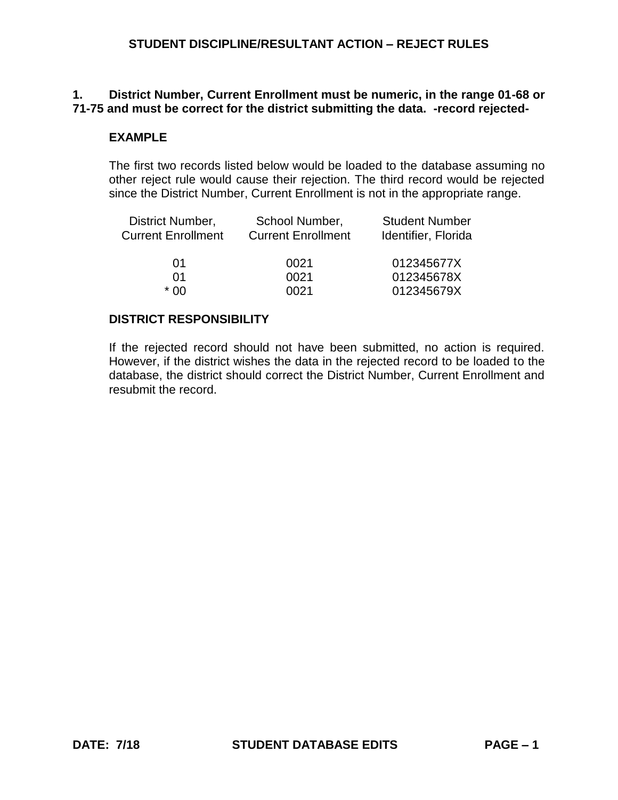## **1. District Number, Current Enrollment must be numeric, in the range 01-68 or 71-75 and must be correct for the district submitting the data. -record rejected-**

# **EXAMPLE**

The first two records listed below would be loaded to the database assuming no other reject rule would cause their rejection. The third record would be rejected since the District Number, Current Enrollment is not in the appropriate range.

| District Number,<br><b>Current Enrollment</b> | School Number,<br><b>Current Enrollment</b> | <b>Student Number</b><br>Identifier, Florida |  |
|-----------------------------------------------|---------------------------------------------|----------------------------------------------|--|
| 01                                            | 0021                                        | 012345677X                                   |  |
| 01                                            | 0021                                        | 012345678X                                   |  |
| * በበ                                          | 0021                                        | 012345679X                                   |  |

## **DISTRICT RESPONSIBILITY**

If the rejected record should not have been submitted, no action is required. However, if the district wishes the data in the rejected record to be loaded to the database, the district should correct the District Number, Current Enrollment and resubmit the record.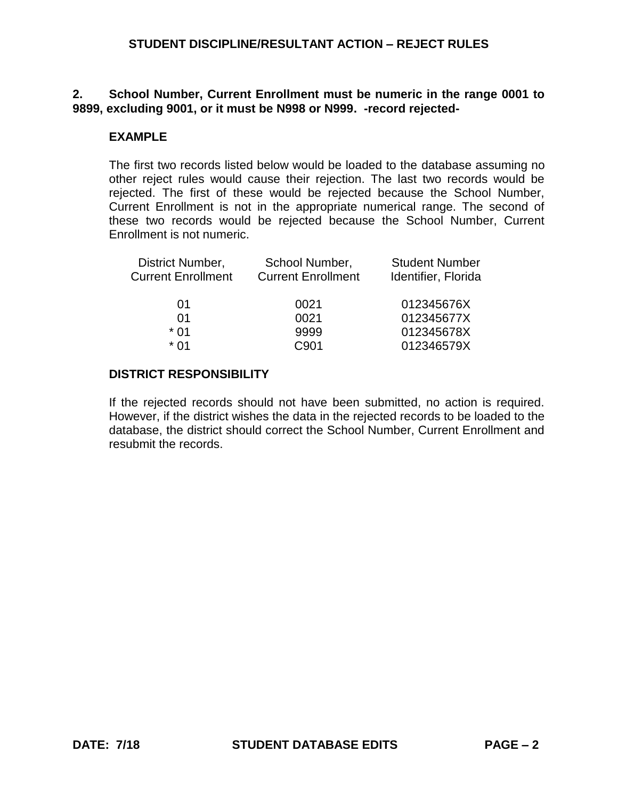## **2. School Number, Current Enrollment must be numeric in the range 0001 to 9899, excluding 9001, or it must be N998 or N999. -record rejected-**

## **EXAMPLE**

The first two records listed below would be loaded to the database assuming no other reject rules would cause their rejection. The last two records would be rejected. The first of these would be rejected because the School Number, Current Enrollment is not in the appropriate numerical range. The second of these two records would be rejected because the School Number, Current Enrollment is not numeric.

| District Number,          | School Number,            | <b>Student Number</b> |
|---------------------------|---------------------------|-----------------------|
| <b>Current Enrollment</b> | <b>Current Enrollment</b> | Identifier, Florida   |
| 01                        | 0021                      | 012345676X            |
| 01                        | 0021                      | 012345677X            |
| $*$ 01                    | 9999                      | 012345678X            |
| * በ1                      | C901                      | 012346579X            |
|                           |                           |                       |

### **DISTRICT RESPONSIBILITY**

If the rejected records should not have been submitted, no action is required. However, if the district wishes the data in the rejected records to be loaded to the database, the district should correct the School Number, Current Enrollment and resubmit the records.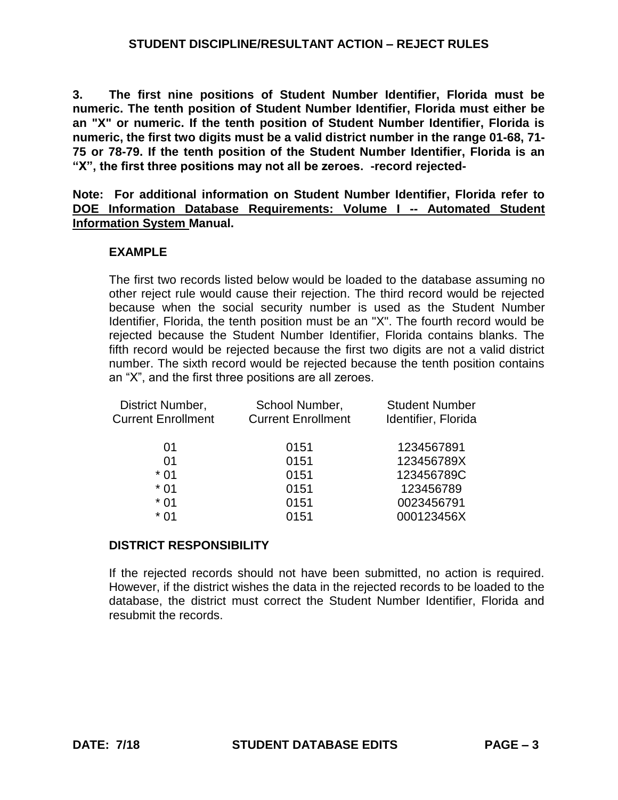**3. The first nine positions of Student Number Identifier, Florida must be numeric. The tenth position of Student Number Identifier, Florida must either be an "X" or numeric. If the tenth position of Student Number Identifier, Florida is numeric, the first two digits must be a valid district number in the range 01-68, 71- 75 or 78-79. If the tenth position of the Student Number Identifier, Florida is an "X", the first three positions may not all be zeroes. -record rejected-**

**Note: For additional information on Student Number Identifier, Florida refer to DOE Information Database Requirements: Volume I -- Automated Student Information System Manual.**

# **EXAMPLE**

The first two records listed below would be loaded to the database assuming no other reject rule would cause their rejection. The third record would be rejected because when the social security number is used as the Student Number Identifier, Florida, the tenth position must be an "X". The fourth record would be rejected because the Student Number Identifier, Florida contains blanks. The fifth record would be rejected because the first two digits are not a valid district number. The sixth record would be rejected because the tenth position contains an "X", and the first three positions are all zeroes.

| District Number,          | School Number,            | <b>Student Number</b> |
|---------------------------|---------------------------|-----------------------|
| <b>Current Enrollment</b> | <b>Current Enrollment</b> | Identifier, Florida   |
| 01                        | 0151                      | 1234567891            |
| 01                        | 0151                      | 123456789X            |
| $*01$                     | 0151                      | 123456789C            |
| $*01$                     | 0151                      | 123456789             |
| $*01$                     | 0151                      | 0023456791            |
| * 01                      | 0151                      | 000123456X            |

### **DISTRICT RESPONSIBILITY**

If the rejected records should not have been submitted, no action is required. However, if the district wishes the data in the rejected records to be loaded to the database, the district must correct the Student Number Identifier, Florida and resubmit the records.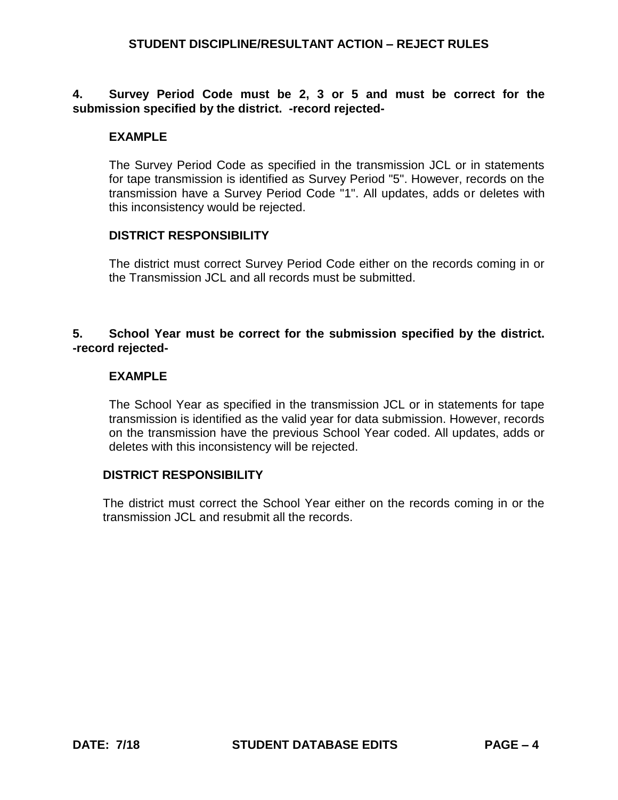## **4. Survey Period Code must be 2, 3 or 5 and must be correct for the submission specified by the district. -record rejected-**

# **EXAMPLE**

The Survey Period Code as specified in the transmission JCL or in statements for tape transmission is identified as Survey Period "5". However, records on the transmission have a Survey Period Code "1". All updates, adds or deletes with this inconsistency would be rejected.

### **DISTRICT RESPONSIBILITY**

The district must correct Survey Period Code either on the records coming in or the Transmission JCL and all records must be submitted.

## **5. School Year must be correct for the submission specified by the district. -record rejected-**

## **EXAMPLE**

The School Year as specified in the transmission JCL or in statements for tape transmission is identified as the valid year for data submission. However, records on the transmission have the previous School Year coded. All updates, adds or deletes with this inconsistency will be rejected.

### **DISTRICT RESPONSIBILITY**

The district must correct the School Year either on the records coming in or the transmission JCL and resubmit all the records.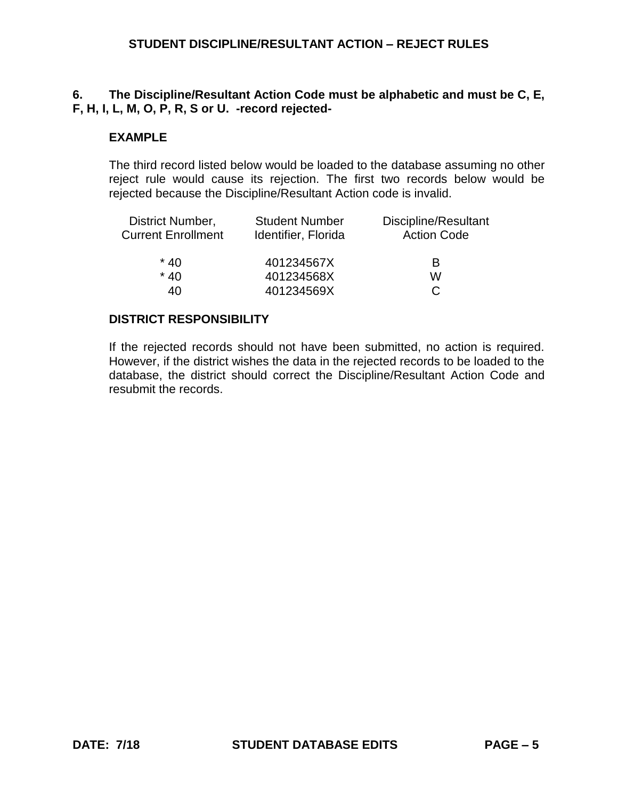# **6. The Discipline/Resultant Action Code must be alphabetic and must be C, E, F, H, I, L, M, O, P, R, S or U. -record rejected-**

# **EXAMPLE**

The third record listed below would be loaded to the database assuming no other reject rule would cause its rejection. The first two records below would be rejected because the Discipline/Resultant Action code is invalid.

| District Number,<br><b>Current Enrollment</b> | <b>Student Number</b><br>Identifier, Florida | Discipline/Resultant<br><b>Action Code</b> |
|-----------------------------------------------|----------------------------------------------|--------------------------------------------|
| $*40$                                         | 401234567X                                   | В                                          |
| $*40$                                         | 401234568X                                   | w                                          |
| 40                                            | 401234569X                                   | C                                          |

### **DISTRICT RESPONSIBILITY**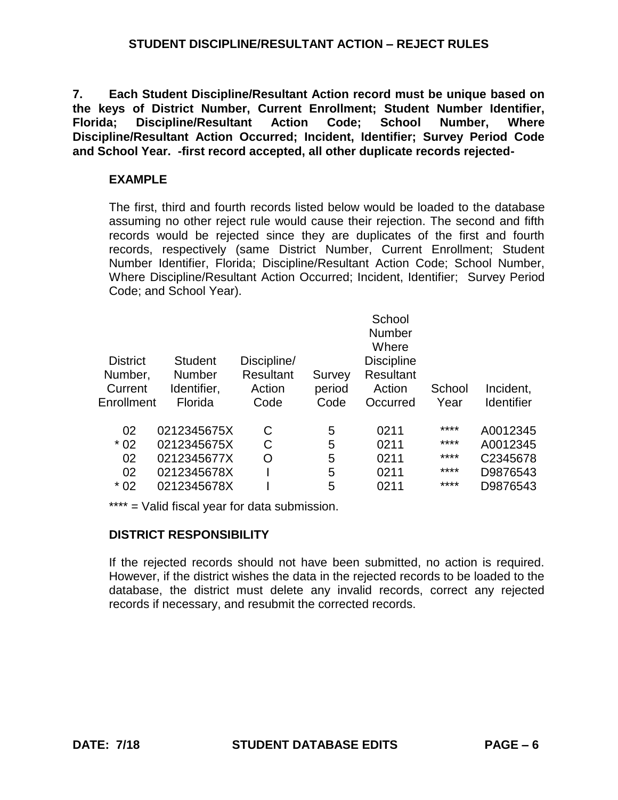**7. Each Student Discipline/Resultant Action record must be unique based on the keys of District Number, Current Enrollment; Student Number Identifier, Florida; Discipline/Resultant Action Code; School Number, Where Discipline/Resultant Action Occurred; Incident, Identifier; Survey Period Code and School Year. -first record accepted, all other duplicate records rejected-**

# **EXAMPLE**

The first, third and fourth records listed below would be loaded to the database assuming no other reject rule would cause their rejection. The second and fifth records would be rejected since they are duplicates of the first and fourth records, respectively (same District Number, Current Enrollment; Student Number Identifier, Florida; Discipline/Resultant Action Code; School Number, Where Discipline/Resultant Action Occurred; Incident, Identifier; Survey Period Code; and School Year).

|                |                            |        | School<br><b>Number</b><br>Where |              |            |
|----------------|----------------------------|--------|----------------------------------|--------------|------------|
| <b>Student</b> | Discipline/                |        | <b>Discipline</b>                |              |            |
| <b>Number</b>  | <b>Resultant</b>           | Survey | <b>Resultant</b>                 |              |            |
| Identifier,    | Action                     | period | Action                           | School       | Incident,  |
| Florida        | Code                       | Code   | Occurred                         | Year         | Identifier |
|                |                            |        |                                  | ****         | A0012345   |
|                |                            |        |                                  | ****         | A0012345   |
| 0212345677X    | Ω                          | 5      | 0211                             | ****         | C2345678   |
| 0212345678X    |                            | 5      | 0211                             | ****         | D9876543   |
| 0212345678X    |                            | 5      | 0211                             | ****         | D9876543   |
|                | 0212345675X<br>0212345675X | C<br>С | 5<br>5                           | 0211<br>0211 |            |

\*\*\*\* = Valid fiscal year for data submission.

# **DISTRICT RESPONSIBILITY**

If the rejected records should not have been submitted, no action is required. However, if the district wishes the data in the rejected records to be loaded to the database, the district must delete any invalid records, correct any rejected records if necessary, and resubmit the corrected records.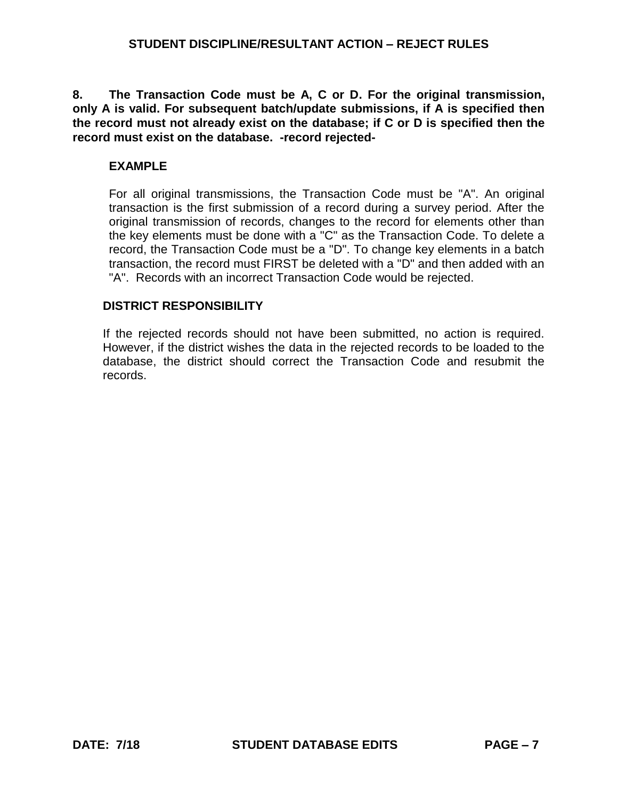**8. The Transaction Code must be A, C or D. For the original transmission, only A is valid. For subsequent batch/update submissions, if A is specified then the record must not already exist on the database; if C or D is specified then the record must exist on the database. -record rejected-**

# **EXAMPLE**

For all original transmissions, the Transaction Code must be "A". An original transaction is the first submission of a record during a survey period. After the original transmission of records, changes to the record for elements other than the key elements must be done with a "C" as the Transaction Code. To delete a record, the Transaction Code must be a "D". To change key elements in a batch transaction, the record must FIRST be deleted with a "D" and then added with an "A". Records with an incorrect Transaction Code would be rejected.

# **DISTRICT RESPONSIBILITY**

If the rejected records should not have been submitted, no action is required. However, if the district wishes the data in the rejected records to be loaded to the database, the district should correct the Transaction Code and resubmit the records.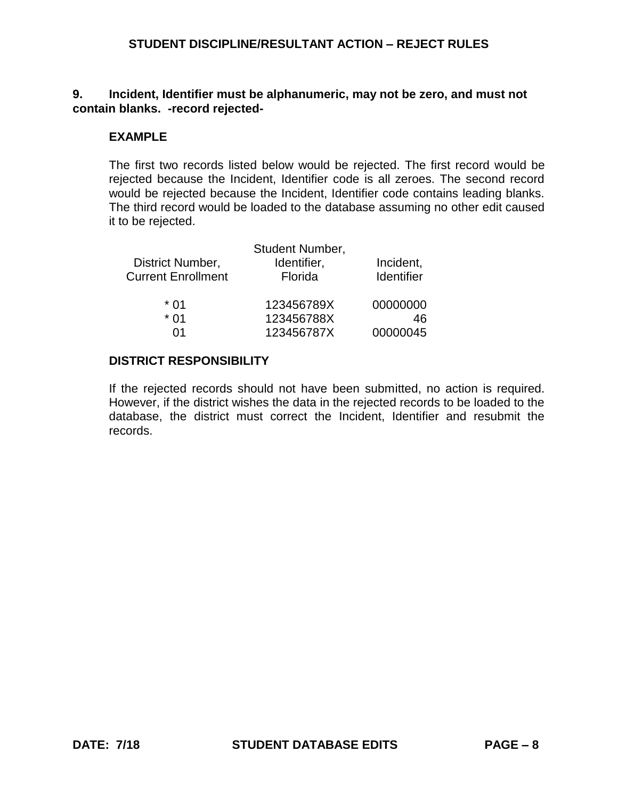## **9. Incident, Identifier must be alphanumeric, may not be zero, and must not contain blanks. -record rejected-**

## **EXAMPLE**

The first two records listed below would be rejected. The first record would be rejected because the Incident, Identifier code is all zeroes. The second record would be rejected because the Incident, Identifier code contains leading blanks. The third record would be loaded to the database assuming no other edit caused it to be rejected.

|                           | Student Number, |            |
|---------------------------|-----------------|------------|
| District Number,          | Identifier,     | Incident,  |
| <b>Current Enrollment</b> | Florida         | Identifier |
| * 01                      | 123456789X      | 00000000   |
| * በ1                      | 123456788X      | 46         |
| ሰ1                        | 123456787X      | 00000045   |

### **DISTRICT RESPONSIBILITY**

If the rejected records should not have been submitted, no action is required. However, if the district wishes the data in the rejected records to be loaded to the database, the district must correct the Incident, Identifier and resubmit the records.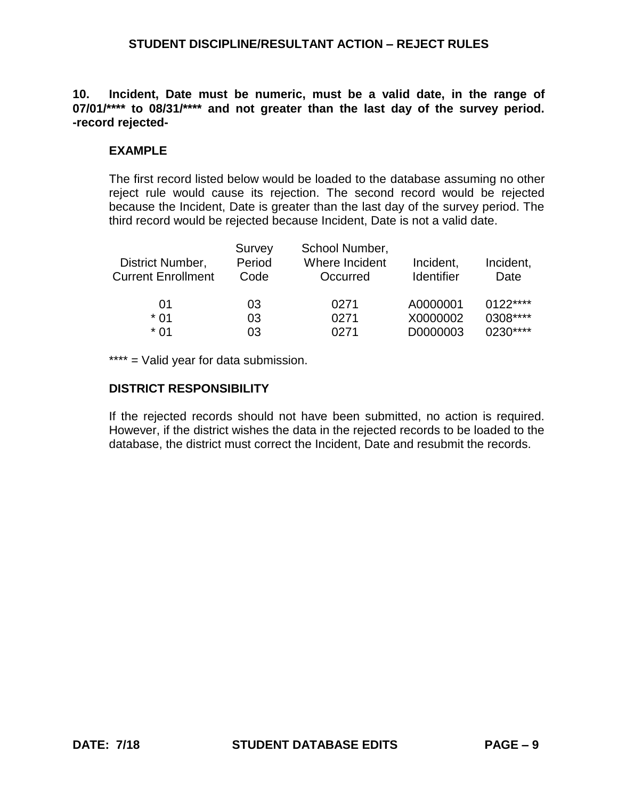**10. Incident, Date must be numeric, must be a valid date, in the range of 07/01/\*\*\*\* to 08/31/\*\*\*\* and not greater than the last day of the survey period. -record rejected-**

### **EXAMPLE**

The first record listed below would be loaded to the database assuming no other reject rule would cause its rejection. The second record would be rejected because the Incident, Date is greater than the last day of the survey period. The third record would be rejected because Incident, Date is not a valid date.

| District Number,<br><b>Current Enrollment</b> | Survey<br>Period<br>Code | School Number,<br>Where Incident<br>Occurred | Incident,<br><b>Identifier</b> | Incident,<br>Date |
|-----------------------------------------------|--------------------------|----------------------------------------------|--------------------------------|-------------------|
| 01                                            | 03                       | 0271                                         | A0000001                       | $0122***$         |
| $*01$                                         | 03                       | 0271                                         | X0000002                       | 0308****          |
| $*$ 01                                        | 03                       | 0271                                         | D0000003                       | $0230***$         |

\*\*\*\* = Valid year for data submission.

#### **DISTRICT RESPONSIBILITY**

If the rejected records should not have been submitted, no action is required. However, if the district wishes the data in the rejected records to be loaded to the database, the district must correct the Incident, Date and resubmit the records.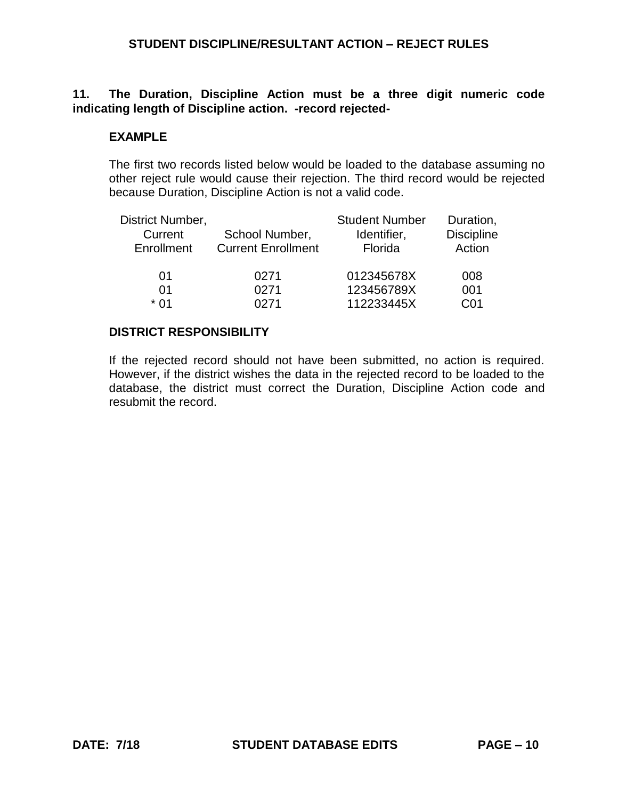## **11. The Duration, Discipline Action must be a three digit numeric code indicating length of Discipline action. -record rejected-**

### **EXAMPLE**

The first two records listed below would be loaded to the database assuming no other reject rule would cause their rejection. The third record would be rejected because Duration, Discipline Action is not a valid code.

| District Number,<br>Current<br>Enrollment | School Number,<br><b>Current Enrollment</b> | <b>Student Number</b><br>Identifier,<br>Florida | Duration,<br><b>Discipline</b><br>Action |
|-------------------------------------------|---------------------------------------------|-------------------------------------------------|------------------------------------------|
| 01                                        | 0271                                        | 012345678X                                      | 008                                      |
| 01                                        | 0271                                        | 123456789X                                      | 001                                      |
| * በ1                                      | በ271                                        | 112233445X                                      | C01                                      |

### **DISTRICT RESPONSIBILITY**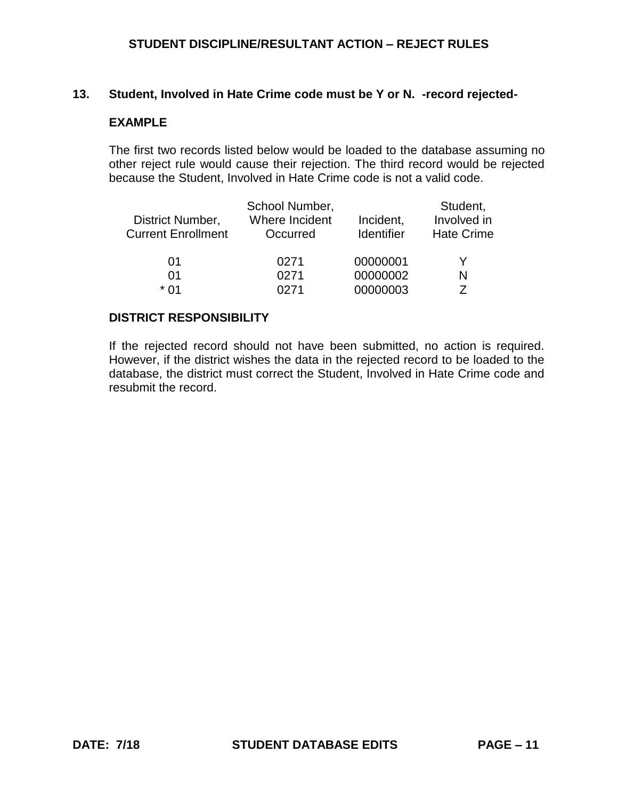### **13. Student, Involved in Hate Crime code must be Y or N. -record rejected-**

### **EXAMPLE**

The first two records listed below would be loaded to the database assuming no other reject rule would cause their rejection. The third record would be rejected because the Student, Involved in Hate Crime code is not a valid code.

| District Number,<br><b>Current Enrollment</b> | School Number,<br>Where Incident<br>Occurred | Incident,<br><b>Identifier</b> | Student,<br>Involved in<br><b>Hate Crime</b> |
|-----------------------------------------------|----------------------------------------------|--------------------------------|----------------------------------------------|
| 01                                            | 0271                                         | 00000001                       |                                              |
| 01                                            | 0271                                         | 00000002                       | N                                            |
| * በ1                                          | <b>N271</b>                                  | 00000003                       |                                              |

#### **DISTRICT RESPONSIBILITY**

If the rejected record should not have been submitted, no action is required. However, if the district wishes the data in the rejected record to be loaded to the database, the district must correct the Student, Involved in Hate Crime code and resubmit the record.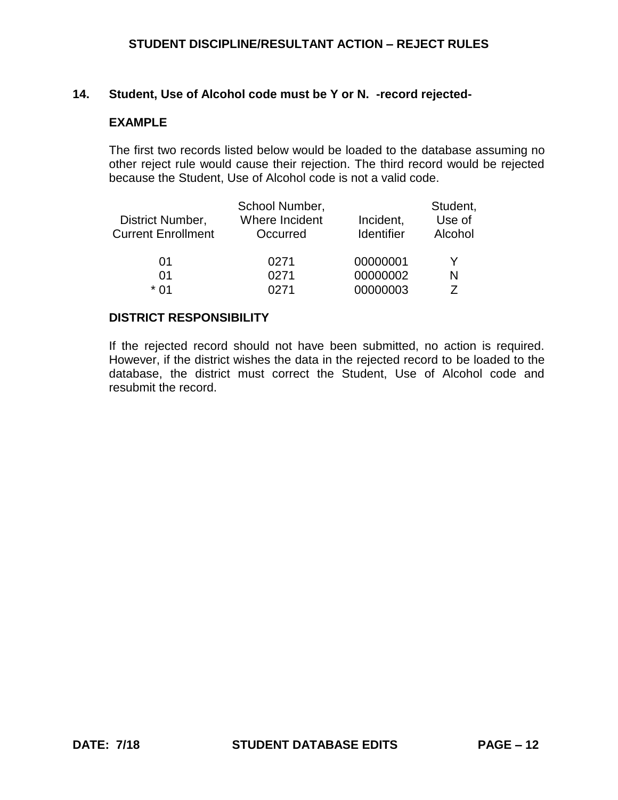#### **14. Student, Use of Alcohol code must be Y or N. -record rejected-**

### **EXAMPLE**

The first two records listed below would be loaded to the database assuming no other reject rule would cause their rejection. The third record would be rejected because the Student, Use of Alcohol code is not a valid code.

|                           | School Number, |                   | Student, |
|---------------------------|----------------|-------------------|----------|
| District Number,          | Where Incident | Incident,         | Use of   |
| <b>Current Enrollment</b> | Occurred       | <b>Identifier</b> | Alcohol  |
|                           |                |                   |          |
| 01                        | 0271           | 00000001          | Y        |
| 01                        | 0271           | 00000002          | N        |
| * በ1                      | በ271           | 00000003          |          |

#### **DISTRICT RESPONSIBILITY**

If the rejected record should not have been submitted, no action is required. However, if the district wishes the data in the rejected record to be loaded to the database, the district must correct the Student, Use of Alcohol code and resubmit the record.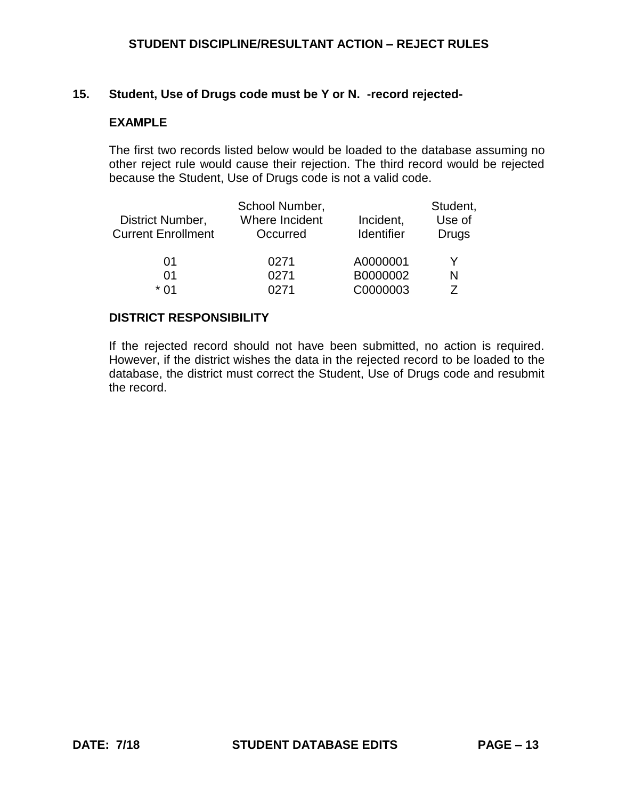#### **15. Student, Use of Drugs code must be Y or N. -record rejected-**

### **EXAMPLE**

The first two records listed below would be loaded to the database assuming no other reject rule would cause their rejection. The third record would be rejected because the Student, Use of Drugs code is not a valid code.

| District Number,<br><b>Current Enrollment</b> | School Number,<br>Where Incident<br>Occurred | Incident,<br><b>Identifier</b> | Student,<br>Use of<br><b>Drugs</b> |
|-----------------------------------------------|----------------------------------------------|--------------------------------|------------------------------------|
| 01                                            | 0271                                         | A0000001                       | Y                                  |
| 01                                            | 0271                                         | B0000002                       | N                                  |
| * በ1                                          | በ271                                         | C0000003                       | 7                                  |

#### **DISTRICT RESPONSIBILITY**

If the rejected record should not have been submitted, no action is required. However, if the district wishes the data in the rejected record to be loaded to the database, the district must correct the Student, Use of Drugs code and resubmit the record.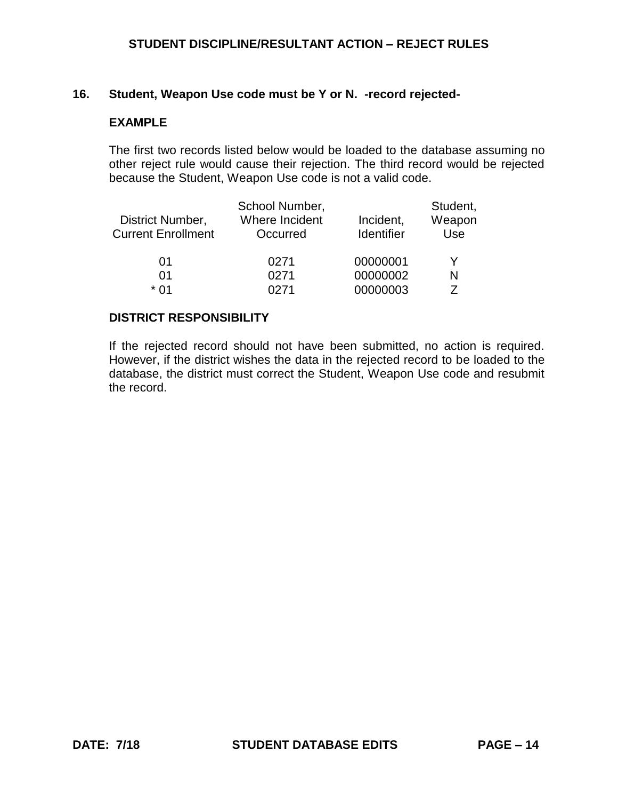## **16. Student, Weapon Use code must be Y or N. -record rejected-**

### **EXAMPLE**

The first two records listed below would be loaded to the database assuming no other reject rule would cause their rejection. The third record would be rejected because the Student, Weapon Use code is not a valid code.

|                           | School Number, |            | Student, |
|---------------------------|----------------|------------|----------|
| District Number,          | Where Incident | Incident,  | Weapon   |
| <b>Current Enrollment</b> | Occurred       | Identifier | Use      |
|                           |                |            |          |
| 01                        | 0271           | 00000001   | v        |
| 01                        | 0271           | 00000002   | N        |
| * በ1                      | በ271           | 00000003   | 7        |

#### **DISTRICT RESPONSIBILITY**

If the rejected record should not have been submitted, no action is required. However, if the district wishes the data in the rejected record to be loaded to the database, the district must correct the Student, Weapon Use code and resubmit the record.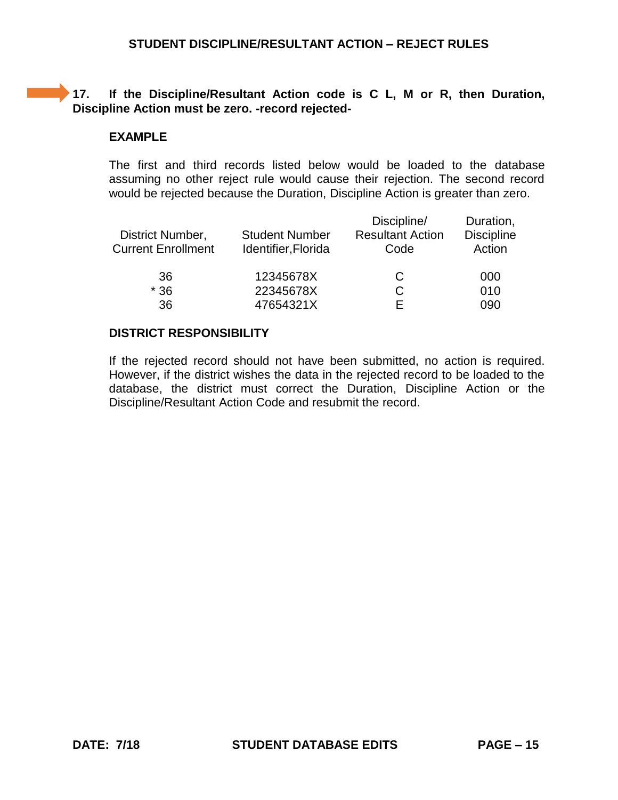# **17. If the Discipline/Resultant Action code is C L, M or R, then Duration, Discipline Action must be zero. -record rejected-**

## **EXAMPLE**

The first and third records listed below would be loaded to the database assuming no other reject rule would cause their rejection. The second record would be rejected because the Duration, Discipline Action is greater than zero.

| District Number,<br><b>Current Enrollment</b> | <b>Student Number</b><br>Identifier, Florida | Discipline/<br><b>Resultant Action</b><br>Code | Duration,<br><b>Discipline</b><br>Action |
|-----------------------------------------------|----------------------------------------------|------------------------------------------------|------------------------------------------|
| 36                                            | 12345678X                                    | C                                              | 000                                      |
| $*36$                                         | 22345678X                                    |                                                | 010                                      |
| 36                                            | 47654321X                                    |                                                | 090                                      |

### **DISTRICT RESPONSIBILITY**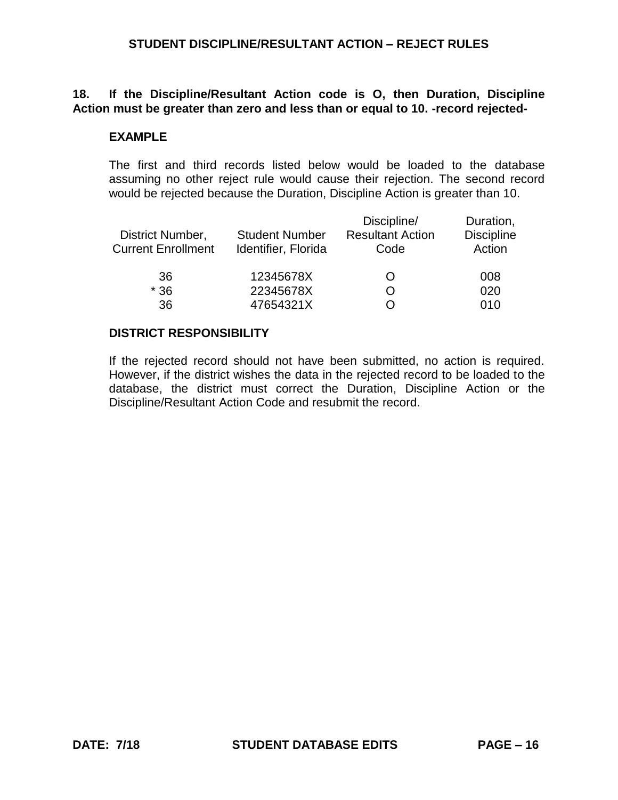## **18. If the Discipline/Resultant Action code is O, then Duration, Discipline Action must be greater than zero and less than or equal to 10. -record rejected-**

#### **EXAMPLE**

The first and third records listed below would be loaded to the database assuming no other reject rule would cause their rejection. The second record would be rejected because the Duration, Discipline Action is greater than 10.

| District Number,<br><b>Current Enrollment</b> | <b>Student Number</b><br>Identifier, Florida | Discipline/<br><b>Resultant Action</b><br>Code | Duration,<br><b>Discipline</b><br>Action |
|-----------------------------------------------|----------------------------------------------|------------------------------------------------|------------------------------------------|
| 36                                            | 12345678X                                    |                                                | 008                                      |
| $*36$                                         | 22345678X                                    |                                                | 020                                      |
| 36                                            | 47654321X                                    |                                                | 010                                      |

#### **DISTRICT RESPONSIBILITY**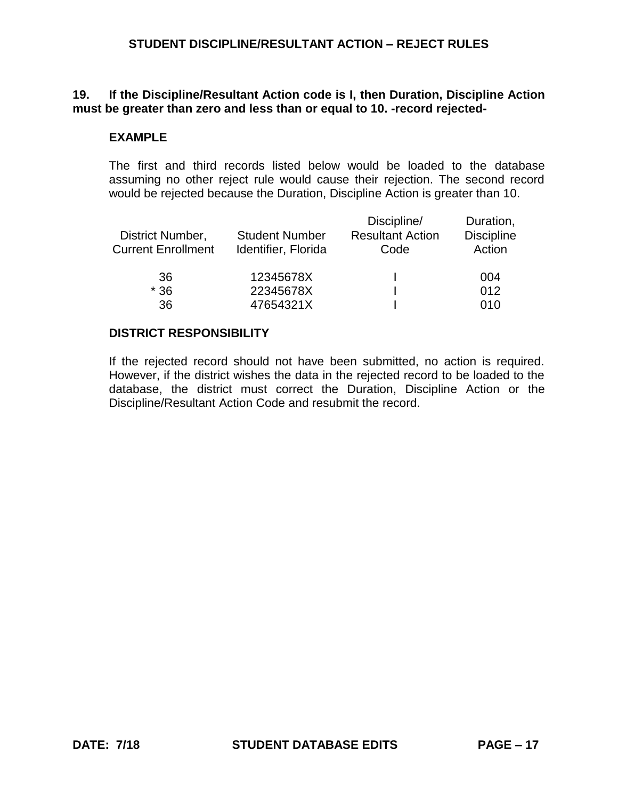## **19. If the Discipline/Resultant Action code is I, then Duration, Discipline Action must be greater than zero and less than or equal to 10. -record rejected-**

## **EXAMPLE**

The first and third records listed below would be loaded to the database assuming no other reject rule would cause their rejection. The second record would be rejected because the Duration, Discipline Action is greater than 10.

| District Number,<br><b>Current Enrollment</b> | <b>Student Number</b><br>Identifier, Florida | Discipline/<br><b>Resultant Action</b><br>Code | Duration,<br><b>Discipline</b><br>Action |
|-----------------------------------------------|----------------------------------------------|------------------------------------------------|------------------------------------------|
| 36                                            | 12345678X                                    |                                                | 004                                      |
| $*36$                                         | 22345678X                                    |                                                | 012                                      |
| 36                                            | 47654321X                                    |                                                | 010                                      |

### **DISTRICT RESPONSIBILITY**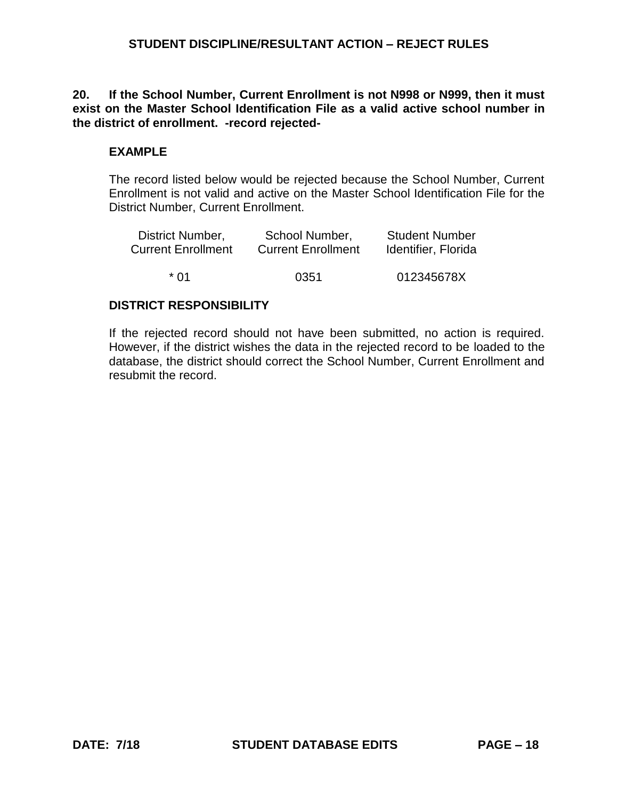**20. If the School Number, Current Enrollment is not N998 or N999, then it must exist on the Master School Identification File as a valid active school number in the district of enrollment. -record rejected-**

## **EXAMPLE**

The record listed below would be rejected because the School Number, Current Enrollment is not valid and active on the Master School Identification File for the District Number, Current Enrollment.

| District Number,          | School Number,            | <b>Student Number</b> |
|---------------------------|---------------------------|-----------------------|
| <b>Current Enrollment</b> | <b>Current Enrollment</b> | Identifier, Florida   |
| * በ1                      | 0351                      | 012345678X            |

## **DISTRICT RESPONSIBILITY**

If the rejected record should not have been submitted, no action is required. However, if the district wishes the data in the rejected record to be loaded to the database, the district should correct the School Number, Current Enrollment and resubmit the record.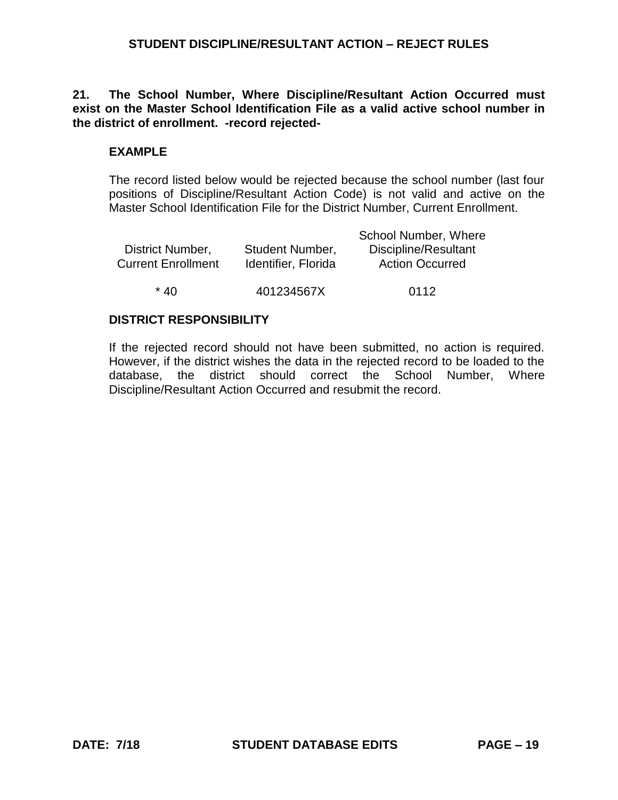**21. The School Number, Where Discipline/Resultant Action Occurred must exist on the Master School Identification File as a valid active school number in the district of enrollment. -record rejected-**

## **EXAMPLE**

The record listed below would be rejected because the school number (last four positions of Discipline/Resultant Action Code) is not valid and active on the Master School Identification File for the District Number, Current Enrollment.

|                           |                        | School Number, Where   |
|---------------------------|------------------------|------------------------|
| District Number,          | <b>Student Number,</b> | Discipline/Resultant   |
| <b>Current Enrollment</b> | Identifier, Florida    | <b>Action Occurred</b> |
|                           |                        |                        |
| $*$ 40                    | 401234567X             | 0112                   |

### **DISTRICT RESPONSIBILITY**

If the rejected record should not have been submitted, no action is required. However, if the district wishes the data in the rejected record to be loaded to the database, the district should correct the School Number, Where Discipline/Resultant Action Occurred and resubmit the record.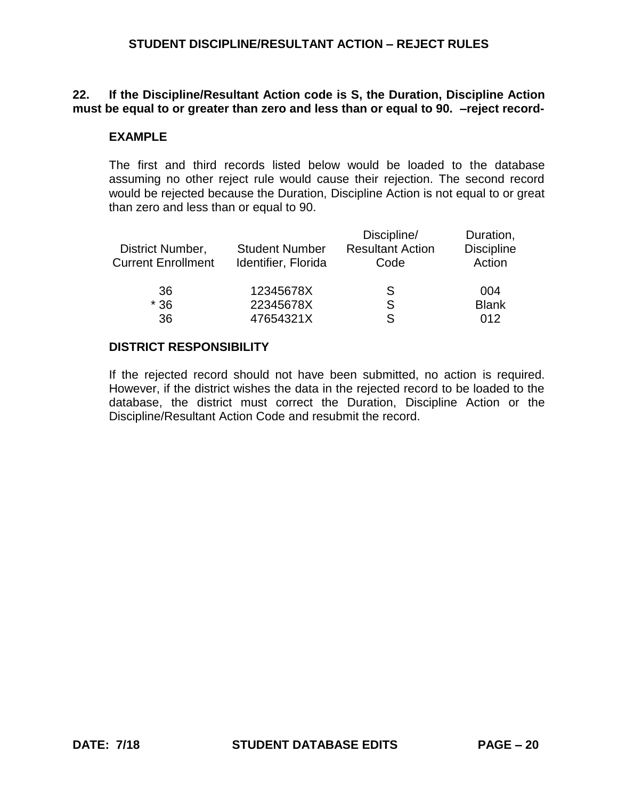## **22. If the Discipline/Resultant Action code is S, the Duration, Discipline Action must be equal to or greater than zero and less than or equal to 90. –reject record-**

### **EXAMPLE**

The first and third records listed below would be loaded to the database assuming no other reject rule would cause their rejection. The second record would be rejected because the Duration, Discipline Action is not equal to or great than zero and less than or equal to 90.

| <b>Student Number</b><br>Identifier, Florida | Discipline/<br><b>Resultant Action</b><br>Code | Duration,<br><b>Discipline</b><br>Action |
|----------------------------------------------|------------------------------------------------|------------------------------------------|
| 12345678X                                    | S                                              | 004                                      |
| 22345678X                                    | S                                              | <b>Blank</b>                             |
| 47654321X                                    | S                                              | 012                                      |
|                                              |                                                |                                          |

### **DISTRICT RESPONSIBILITY**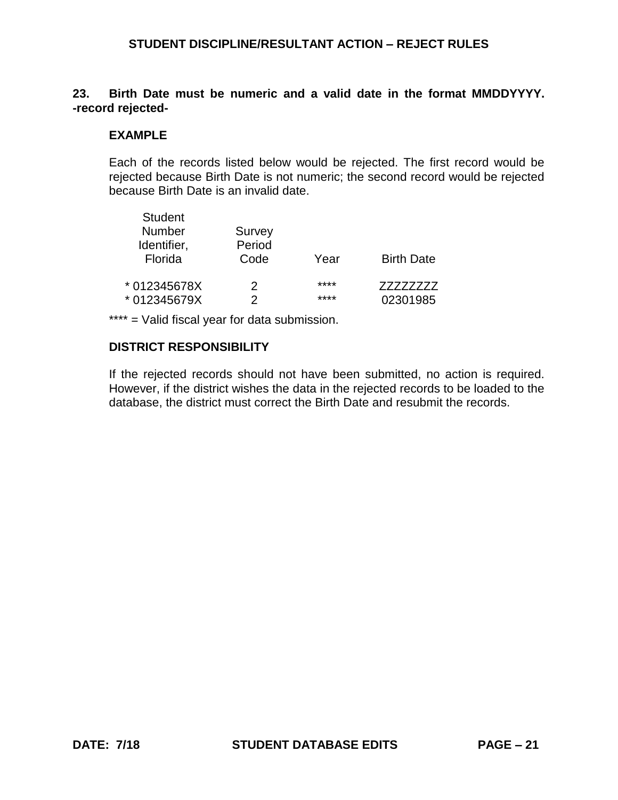## **23. Birth Date must be numeric and a valid date in the format MMDDYYYY. -record rejected-**

# **EXAMPLE**

Each of the records listed below would be rejected. The first record would be rejected because Birth Date is not numeric; the second record would be rejected because Birth Date is an invalid date.

| <b>Student</b><br><b>Number</b><br>Identifier, | Survey<br>Period |      |                   |
|------------------------------------------------|------------------|------|-------------------|
| Florida                                        | Code             | Year | <b>Birth Date</b> |
| * 012345678X                                   | 2                | **** | 77777777          |
| * 012345679X                                   | 2                | **** | 02301985          |

\*\*\*\* = Valid fiscal year for data submission.

# **DISTRICT RESPONSIBILITY**

If the rejected records should not have been submitted, no action is required. However, if the district wishes the data in the rejected records to be loaded to the database, the district must correct the Birth Date and resubmit the records.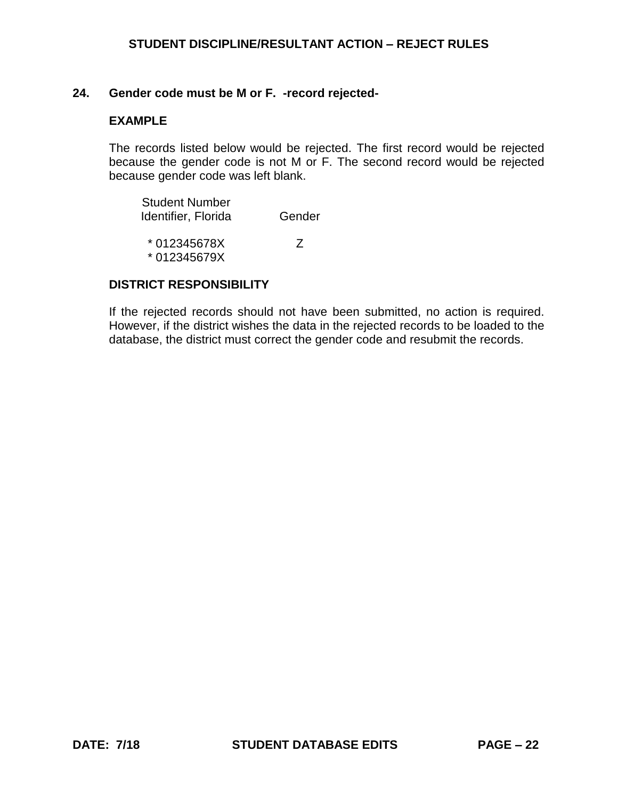#### **24. Gender code must be M or F. -record rejected-**

#### **EXAMPLE**

The records listed below would be rejected. The first record would be rejected because the gender code is not M or F. The second record would be rejected because gender code was left blank.

| <b>Student Number</b> |        |
|-----------------------|--------|
| Identifier, Florida   | Gender |
|                       |        |

| * 012345678X |  |
|--------------|--|
| * 012345679X |  |

#### **DISTRICT RESPONSIBILITY**

If the rejected records should not have been submitted, no action is required. However, if the district wishes the data in the rejected records to be loaded to the database, the district must correct the gender code and resubmit the records.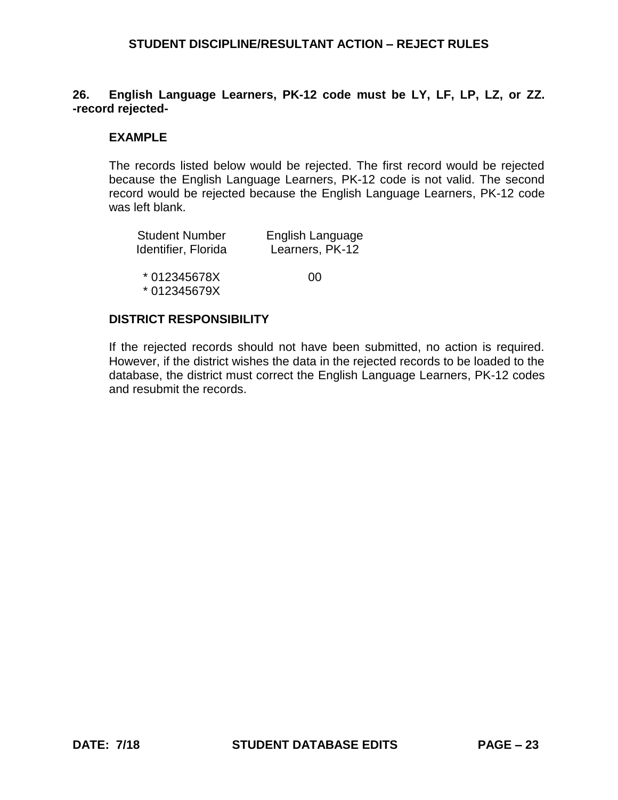## **26. English Language Learners, PK-12 code must be LY, LF, LP, LZ, or ZZ. -record rejected-**

## **EXAMPLE**

The records listed below would be rejected. The first record would be rejected because the English Language Learners, PK-12 code is not valid. The second record would be rejected because the English Language Learners, PK-12 code was left blank.

| <b>Student Number</b>        | English Language |
|------------------------------|------------------|
| Identifier, Florida          | Learners, PK-12  |
| * 012345678X<br>* 012345679X | 00               |

### **DISTRICT RESPONSIBILITY**

If the rejected records should not have been submitted, no action is required. However, if the district wishes the data in the rejected records to be loaded to the database, the district must correct the English Language Learners, PK-12 codes and resubmit the records.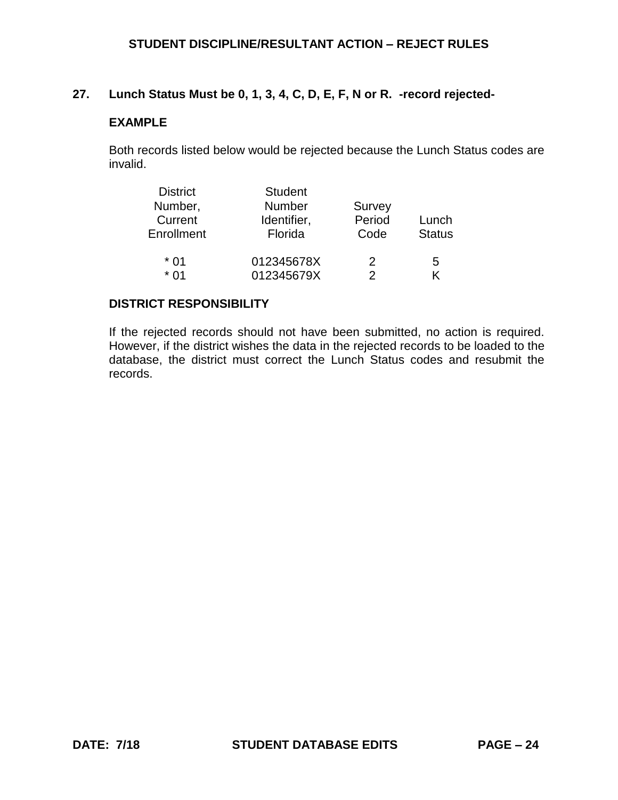# **27. Lunch Status Must be 0, 1, 3, 4, C, D, E, F, N or R. -record rejected-**

## **EXAMPLE**

Both records listed below would be rejected because the Lunch Status codes are invalid.

| <b>District</b> | <b>Student</b> |        |               |
|-----------------|----------------|--------|---------------|
| Number,         | <b>Number</b>  | Survey |               |
| Current         | Identifier,    | Period | Lunch         |
| Enrollment      | Florida        | Code   | <b>Status</b> |
| * 01            | 012345678X     | 2      | 5             |
| * በ1            | 012345679X     | 2      | K             |

### **DISTRICT RESPONSIBILITY**

If the rejected records should not have been submitted, no action is required. However, if the district wishes the data in the rejected records to be loaded to the database, the district must correct the Lunch Status codes and resubmit the records.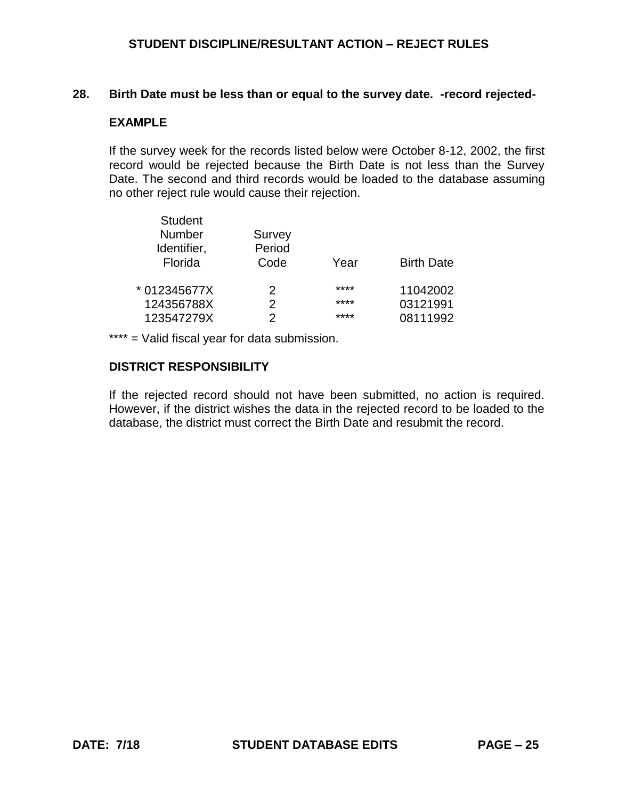#### **28. Birth Date must be less than or equal to the survey date. -record rejected-**

### **EXAMPLE**

If the survey week for the records listed below were October 8-12, 2002, the first record would be rejected because the Birth Date is not less than the Survey Date. The second and third records would be loaded to the database assuming no other reject rule would cause their rejection.

| <b>Student</b> |               |      |                   |
|----------------|---------------|------|-------------------|
| Number         | Survey        |      |                   |
| Identifier,    | Period        |      |                   |
| Florida        | Code          | Year | <b>Birth Date</b> |
| * 012345677X   | 2             | **** | 11042002          |
| 124356788X     | $\mathcal{P}$ | **** | 03121991          |
| 123547279X     | 2             | **** | 08111992          |
|                |               |      |                   |

\*\*\*\* = Valid fiscal year for data submission.

### **DISTRICT RESPONSIBILITY**

If the rejected record should not have been submitted, no action is required. However, if the district wishes the data in the rejected record to be loaded to the database, the district must correct the Birth Date and resubmit the record.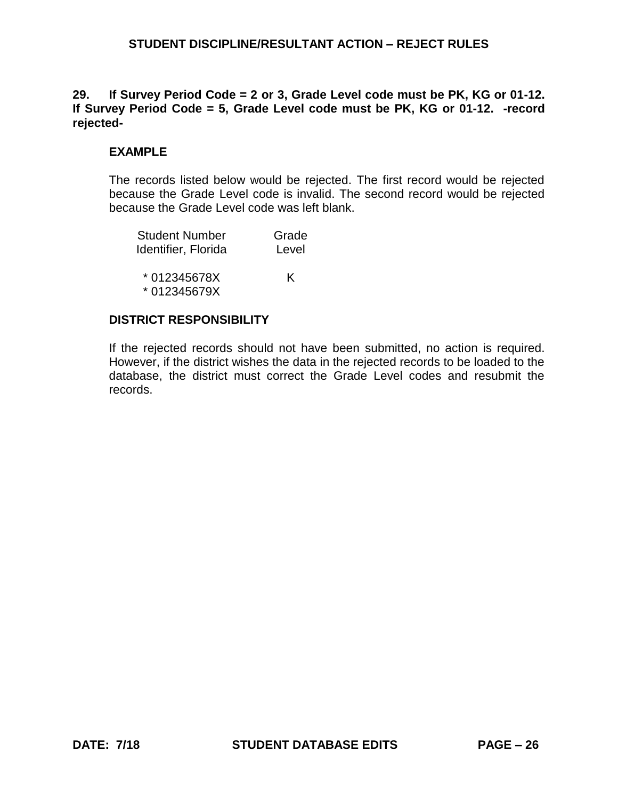## **29. If Survey Period Code = 2 or 3, Grade Level code must be PK, KG or 01-12. If Survey Period Code = 5, Grade Level code must be PK, KG or 01-12. -record rejected-**

# **EXAMPLE**

The records listed below would be rejected. The first record would be rejected because the Grade Level code is invalid. The second record would be rejected because the Grade Level code was left blank.

| <b>Student Number</b> | Grade |
|-----------------------|-------|
| Identifier, Florida   | Level |
|                       |       |
| *012345678X           | K     |
| *012345679X           |       |

## **DISTRICT RESPONSIBILITY**

If the rejected records should not have been submitted, no action is required. However, if the district wishes the data in the rejected records to be loaded to the database, the district must correct the Grade Level codes and resubmit the records.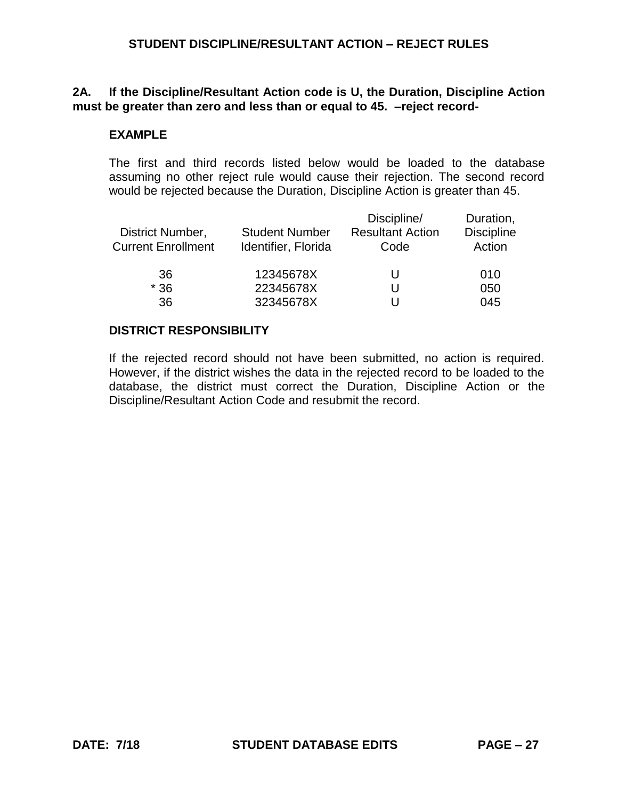## **2A. If the Discipline/Resultant Action code is U, the Duration, Discipline Action must be greater than zero and less than or equal to 45. –reject record-**

#### **EXAMPLE**

The first and third records listed below would be loaded to the database assuming no other reject rule would cause their rejection. The second record would be rejected because the Duration, Discipline Action is greater than 45.

| <b>Student Number</b><br>Identifier, Florida | Discipline/<br><b>Resultant Action</b><br>Code | Duration,<br><b>Discipline</b><br>Action |
|----------------------------------------------|------------------------------------------------|------------------------------------------|
| 12345678X                                    | U                                              | 010                                      |
| 22345678X                                    | U                                              | 050                                      |
| 32345678X                                    |                                                | 045                                      |
|                                              |                                                |                                          |

### **DISTRICT RESPONSIBILITY**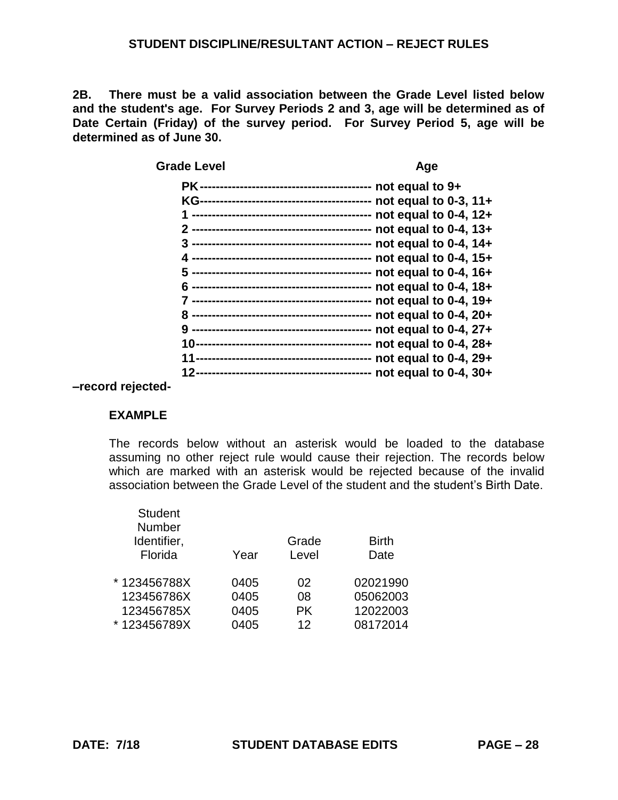**2B. There must be a valid association between the Grade Level listed below and the student's age. For Survey Periods 2 and 3, age will be determined as of Date Certain (Friday) of the survey period. For Survey Period 5, age will be determined as of June 30.**

| <b>Grade Level</b>                     | Age                        |
|----------------------------------------|----------------------------|
| РK                                     | not equal to $9+$          |
|                                        | not equal to $0-3$ , $11+$ |
|                                        | not equal to $0-4$ , $12+$ |
|                                        | not equal to 0-4, 13+      |
|                                        | not equal to 0-4, 14+      |
|                                        | not equal to $0-4$ , $15+$ |
| --------------------------------       | not equal to $0-4$ , $16+$ |
|                                        | not equal to $0-4$ , $18+$ |
|                                        | not equal to $0-4$ , $19+$ |
|                                        | not equal to $0-4$ , $20+$ |
|                                        | not equal to $0-4$ , $27+$ |
|                                        | not equal to $0-4$ , $28+$ |
|                                        | not equal to 0-4, 29+      |
| -------------------------------------- | not equal to $0-4$ , $30+$ |

**–record rejected-**

### **EXAMPLE**

The records below without an asterisk would be loaded to the database assuming no other reject rule would cause their rejection. The records below which are marked with an asterisk would be rejected because of the invalid association between the Grade Level of the student and the student's Birth Date.

| <b>Student</b><br><b>Number</b><br>Identifier,<br>Florida | Year | Grade<br>Level | <b>Birth</b><br>Date |
|-----------------------------------------------------------|------|----------------|----------------------|
| * 123456788X                                              | 0405 | 02             | 02021990             |
| 123456786X                                                | 0405 | 08             | 05062003             |
| 123456785X                                                | 0405 | <b>PK</b>      | 12022003             |
| * 123456789X                                              | 0405 | 12             | 08172014             |
|                                                           |      |                |                      |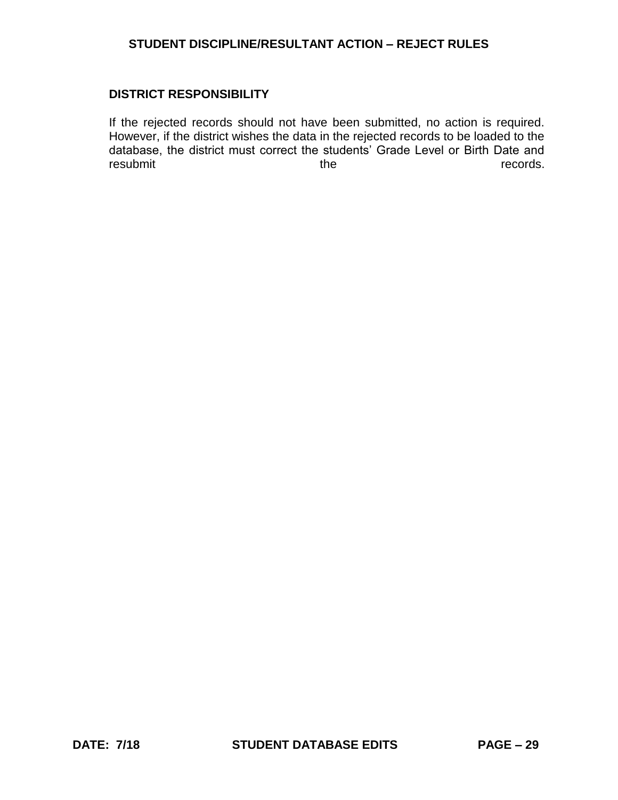### **DISTRICT RESPONSIBILITY**

If the rejected records should not have been submitted, no action is required. However, if the district wishes the data in the rejected records to be loaded to the database, the district must correct the students' Grade Level or Birth Date and resubmit the records.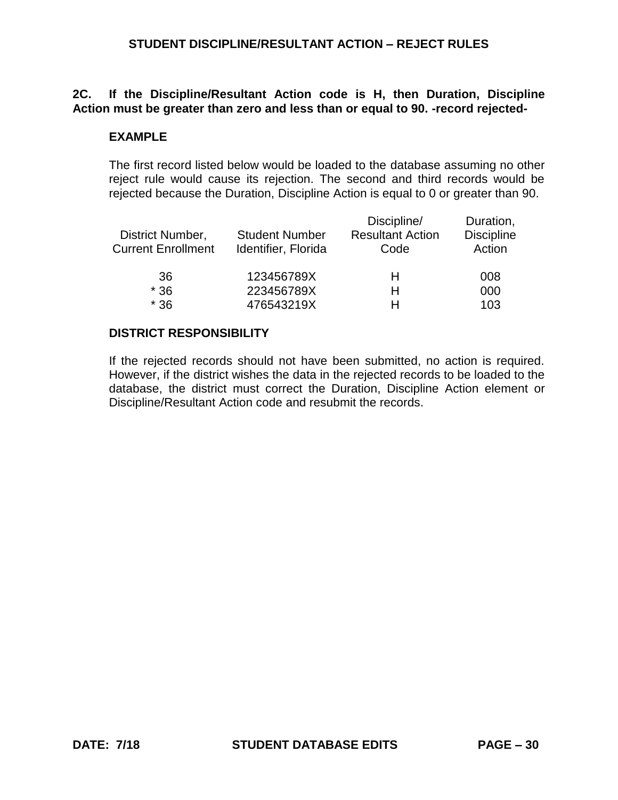## **2C. If the Discipline/Resultant Action code is H, then Duration, Discipline Action must be greater than zero and less than or equal to 90. -record rejected-**

### **EXAMPLE**

The first record listed below would be loaded to the database assuming no other reject rule would cause its rejection. The second and third records would be rejected because the Duration, Discipline Action is equal to 0 or greater than 90.

| District Number,<br><b>Current Enrollment</b> | <b>Student Number</b><br>Identifier, Florida | Discipline/<br><b>Resultant Action</b><br>Code | Duration,<br><b>Discipline</b><br>Action |
|-----------------------------------------------|----------------------------------------------|------------------------------------------------|------------------------------------------|
| 36                                            | 123456789X                                   | н                                              | 008                                      |
| $*36$                                         | 223456789X                                   | н                                              | 000                                      |
| $*36$                                         | 476543219X                                   | н                                              | 103                                      |

#### **DISTRICT RESPONSIBILITY**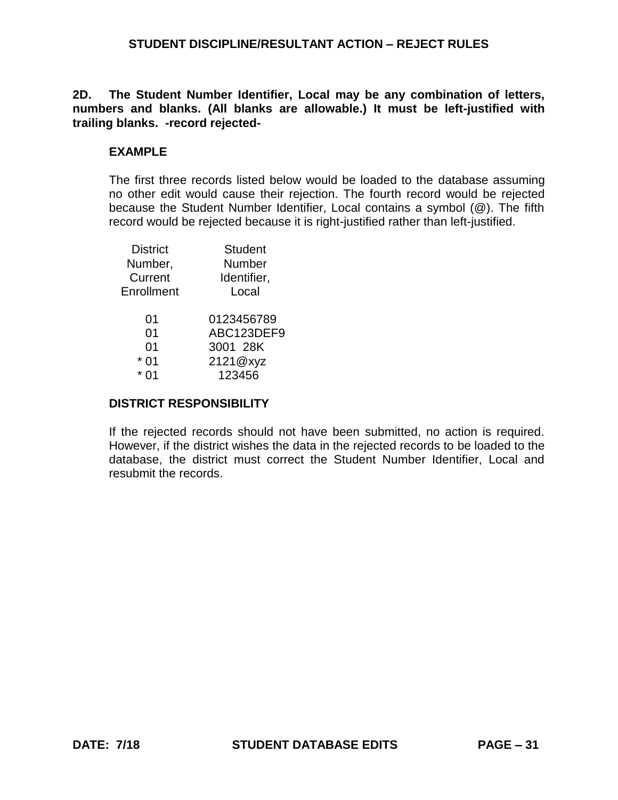**2D. The Student Number Identifier, Local may be any combination of letters, numbers and blanks. (All blanks are allowable.) It must be left-justified with trailing blanks. -record rejected-**

## **EXAMPLE**

The first three records listed below would be loaded to the database assuming no other edit would cause their rejection. The fourth record would be rejected because the Student Number Identifier, Local contains a symbol (@). The fifth record would be rejected because it is right-justified rather than left-justified.

| <b>District</b> | <b>Student</b> |
|-----------------|----------------|
| Number,         | Number         |
| Current         | Identifier,    |
| Enrollment      | Local          |
| 01              | 0123456789     |
| 0 <sub>1</sub>  | ABC123DEF9     |
| 01              | 3001 28K       |
| 01              | 2121@xyz       |
|                 | 123456         |
|                 |                |

#### **DISTRICT RESPONSIBILITY**

If the rejected records should not have been submitted, no action is required. However, if the district wishes the data in the rejected records to be loaded to the database, the district must correct the Student Number Identifier, Local and resubmit the records.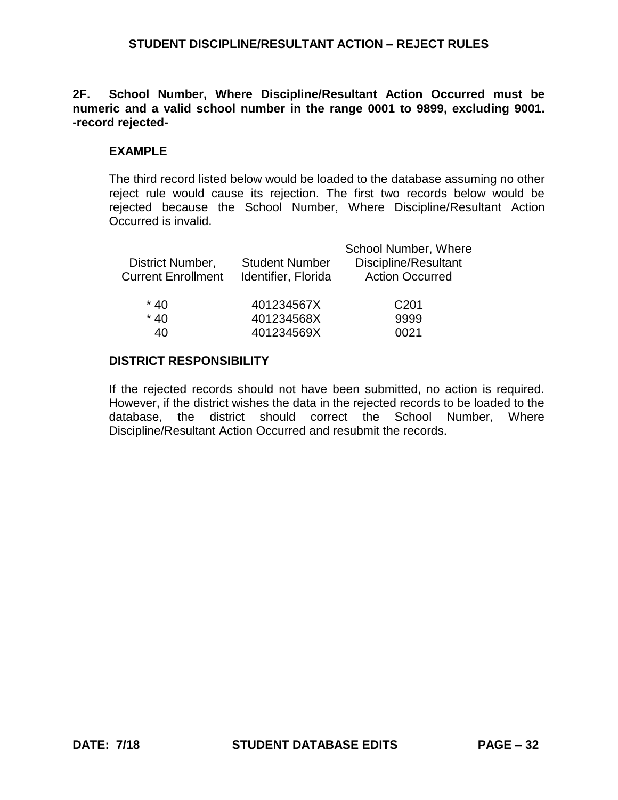**2F. School Number, Where Discipline/Resultant Action Occurred must be numeric and a valid school number in the range 0001 to 9899, excluding 9001. -record rejected-**

### **EXAMPLE**

The third record listed below would be loaded to the database assuming no other reject rule would cause its rejection. The first two records below would be rejected because the School Number, Where Discipline/Resultant Action Occurred is invalid.

| District Number,<br><b>Current Enrollment</b> | <b>Student Number</b><br>Identifier, Florida | School Number, Where<br>Discipline/Resultant<br><b>Action Occurred</b> |
|-----------------------------------------------|----------------------------------------------|------------------------------------------------------------------------|
| $*40$                                         | 401234567X                                   | C <sub>201</sub>                                                       |
| $*40$                                         | 401234568X                                   | 9999                                                                   |
| 40                                            | 401234569X                                   | 0021                                                                   |

#### **DISTRICT RESPONSIBILITY**

If the rejected records should not have been submitted, no action is required. However, if the district wishes the data in the rejected records to be loaded to the database, the district should correct the School Number, Where Discipline/Resultant Action Occurred and resubmit the records.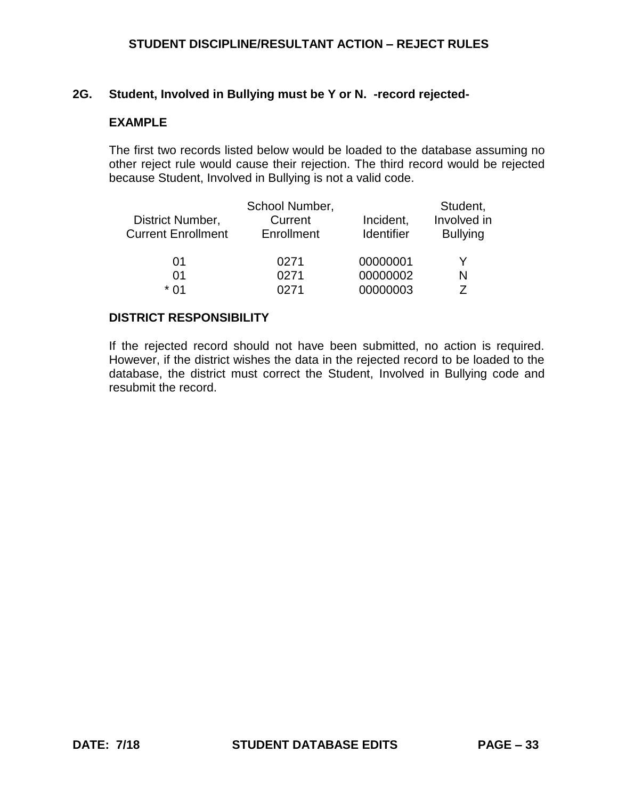#### **2G. Student, Involved in Bullying must be Y or N. -record rejected-**

### **EXAMPLE**

The first two records listed below would be loaded to the database assuming no other reject rule would cause their rejection. The third record would be rejected because Student, Involved in Bullying is not a valid code.

|                           | School Number, |            | Student,        |
|---------------------------|----------------|------------|-----------------|
| District Number,          | Current        | Incident,  | Involved in     |
| <b>Current Enrollment</b> | Enrollment     | Identifier | <b>Bullying</b> |
| 01                        | 0271           | 00000001   |                 |
| 01                        | 0271           | 00000002   | N               |
| * በ1                      | <b>N271</b>    | 00000003   |                 |

#### **DISTRICT RESPONSIBILITY**

If the rejected record should not have been submitted, no action is required. However, if the district wishes the data in the rejected record to be loaded to the database, the district must correct the Student, Involved in Bullying code and resubmit the record.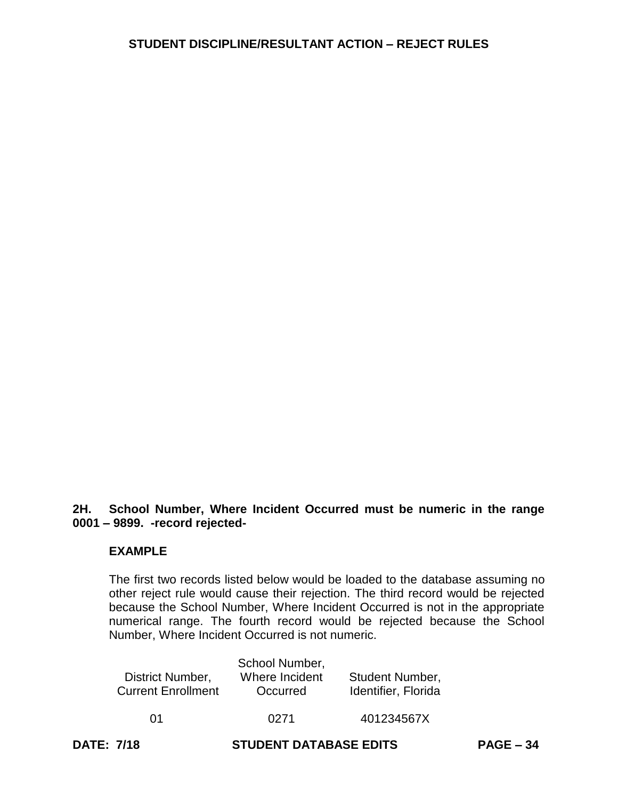# **2H. School Number, Where Incident Occurred must be numeric in the range 0001 – 9899. -record rejected-**

### **EXAMPLE**

The first two records listed below would be loaded to the database assuming no other reject rule would cause their rejection. The third record would be rejected because the School Number, Where Incident Occurred is not in the appropriate numerical range. The fourth record would be rejected because the School Number, Where Incident Occurred is not numeric.

|                           | School Number, |                        |
|---------------------------|----------------|------------------------|
| District Number,          | Where Incident | <b>Student Number,</b> |
| <b>Current Enrollment</b> | Occurred       | Identifier, Florida    |
| በ1                        | 0271           | 401234567X             |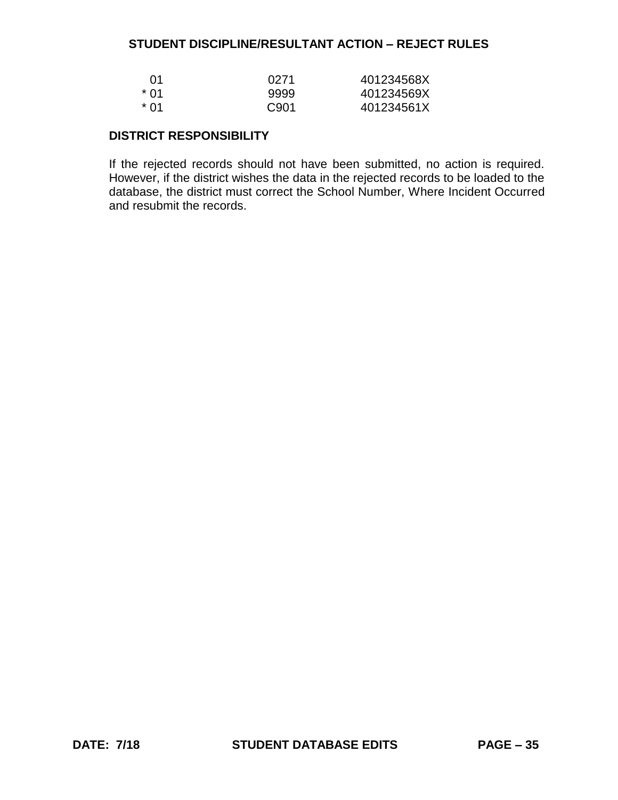| .N1         | 0271  | 401234568X |
|-------------|-------|------------|
| <u>* በ1</u> | 9999  | 401234569X |
| * በ1        | C.901 | 401234561X |

## **DISTRICT RESPONSIBILITY**

If the rejected records should not have been submitted, no action is required. However, if the district wishes the data in the rejected records to be loaded to the database, the district must correct the School Number, Where Incident Occurred and resubmit the records.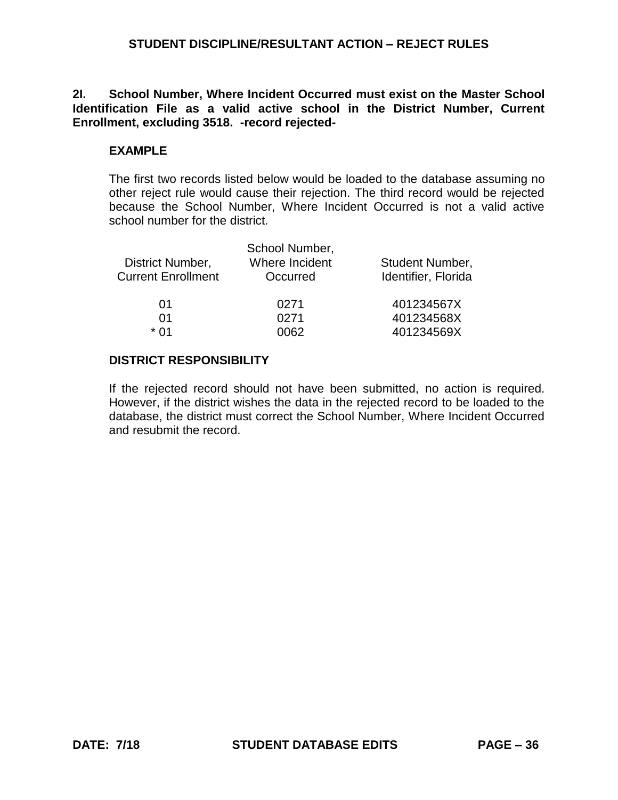**2I. School Number, Where Incident Occurred must exist on the Master School Identification File as a valid active school in the District Number, Current Enrollment, excluding 3518. -record rejected-**

## **EXAMPLE**

The first two records listed below would be loaded to the database assuming no other reject rule would cause their rejection. The third record would be rejected because the School Number, Where Incident Occurred is not a valid active school number for the district.

| District Number,<br><b>Current Enrollment</b> | School Number,<br>Where Incident<br>Occurred | Student Number,<br>Identifier, Florida |
|-----------------------------------------------|----------------------------------------------|----------------------------------------|
| 01                                            | 0271                                         | 401234567X                             |
| 01                                            | 0271                                         | 401234568X                             |
| * በ1                                          | 0062                                         | 401234569X                             |

### **DISTRICT RESPONSIBILITY**

If the rejected record should not have been submitted, no action is required. However, if the district wishes the data in the rejected record to be loaded to the database, the district must correct the School Number, Where Incident Occurred and resubmit the record.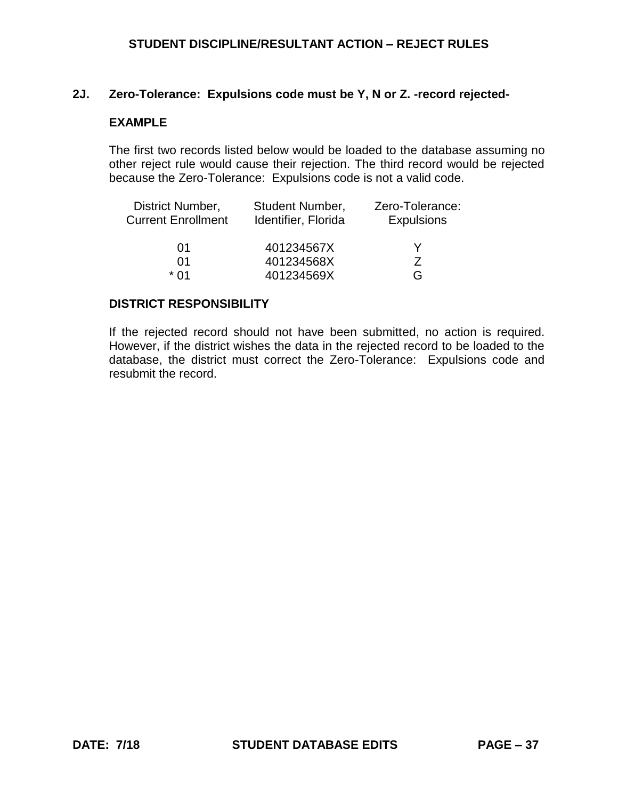## **2J. Zero-Tolerance: Expulsions code must be Y, N or Z. -record rejected-**

## **EXAMPLE**

The first two records listed below would be loaded to the database assuming no other reject rule would cause their rejection. The third record would be rejected because the Zero-Tolerance: Expulsions code is not a valid code.

| District Number,          | <b>Student Number,</b> | Zero-Tolerance:   |
|---------------------------|------------------------|-------------------|
| <b>Current Enrollment</b> | Identifier, Florida    | <b>Expulsions</b> |
| 01                        | 401234567X             |                   |
| 01                        | 401234568X             |                   |
| * በ1                      | 401234569X             | G                 |

### **DISTRICT RESPONSIBILITY**

If the rejected record should not have been submitted, no action is required. However, if the district wishes the data in the rejected record to be loaded to the database, the district must correct the Zero-Tolerance: Expulsions code and resubmit the record.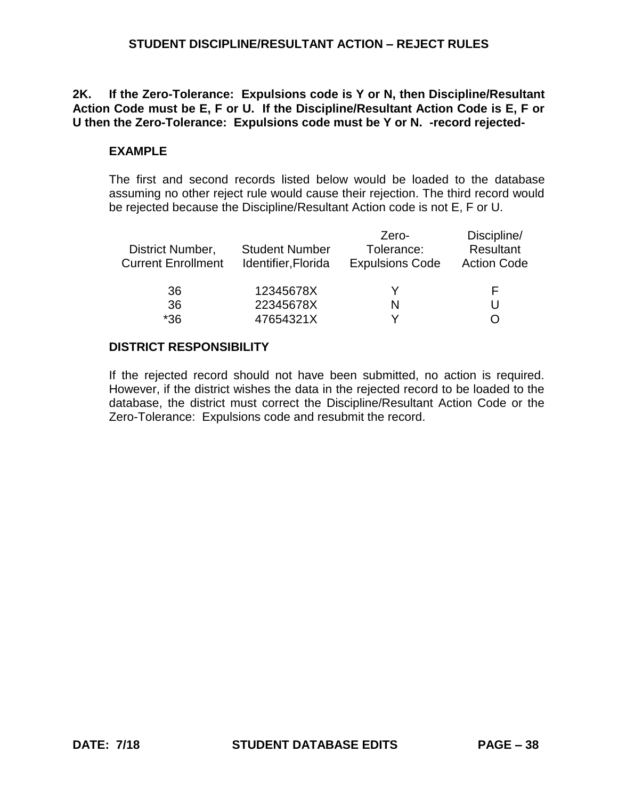## **2K. If the Zero-Tolerance: Expulsions code is Y or N, then Discipline/Resultant Action Code must be E, F or U. If the Discipline/Resultant Action Code is E, F or U then the Zero-Tolerance: Expulsions code must be Y or N. -record rejected-**

## **EXAMPLE**

The first and second records listed below would be loaded to the database assuming no other reject rule would cause their rejection. The third record would be rejected because the Discipline/Resultant Action code is not E, F or U.

|                       | Zero-                  | Discipline/        |
|-----------------------|------------------------|--------------------|
| <b>Student Number</b> | Tolerance:             | <b>Resultant</b>   |
| Identifier, Florida   | <b>Expulsions Code</b> | <b>Action Code</b> |
| 12345678X             |                        |                    |
| 22345678X             | N                      |                    |
| 47654321X             |                        |                    |
|                       |                        |                    |

## **DISTRICT RESPONSIBILITY**

If the rejected record should not have been submitted, no action is required. However, if the district wishes the data in the rejected record to be loaded to the database, the district must correct the Discipline/Resultant Action Code or the Zero-Tolerance: Expulsions code and resubmit the record.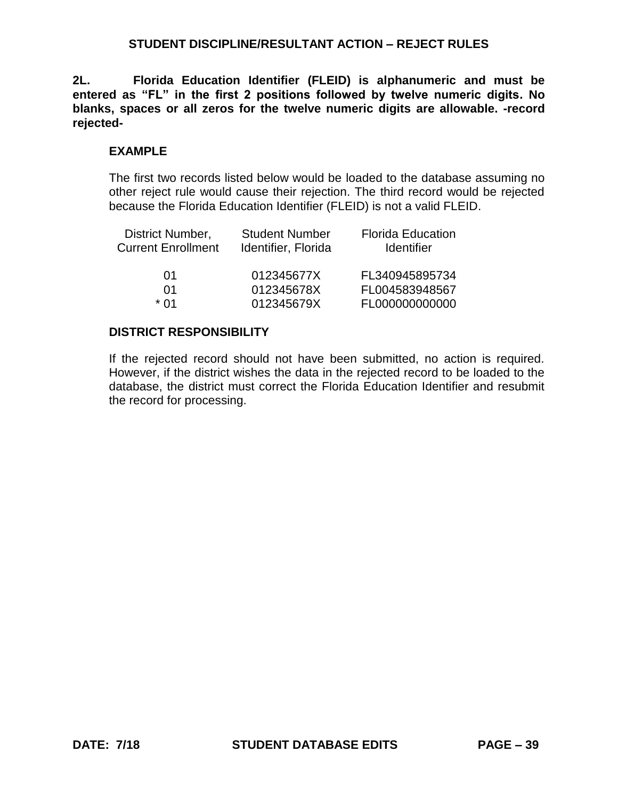**2L. Florida Education Identifier (FLEID) is alphanumeric and must be entered as "FL" in the first 2 positions followed by twelve numeric digits. No blanks, spaces or all zeros for the twelve numeric digits are allowable. -record rejected-**

### **EXAMPLE**

The first two records listed below would be loaded to the database assuming no other reject rule would cause their rejection. The third record would be rejected because the Florida Education Identifier (FLEID) is not a valid FLEID.

| District Number,<br><b>Current Enrollment</b> | <b>Student Number</b><br>Identifier, Florida | <b>Florida Education</b><br><b>Identifier</b> |
|-----------------------------------------------|----------------------------------------------|-----------------------------------------------|
| 01                                            | 012345677X                                   | FL340945895734                                |
| 01                                            | 012345678X                                   | FL004583948567                                |
| * በ1                                          | 012345679X                                   | FL000000000000                                |

## **DISTRICT RESPONSIBILITY**

If the rejected record should not have been submitted, no action is required. However, if the district wishes the data in the rejected record to be loaded to the database, the district must correct the Florida Education Identifier and resubmit the record for processing.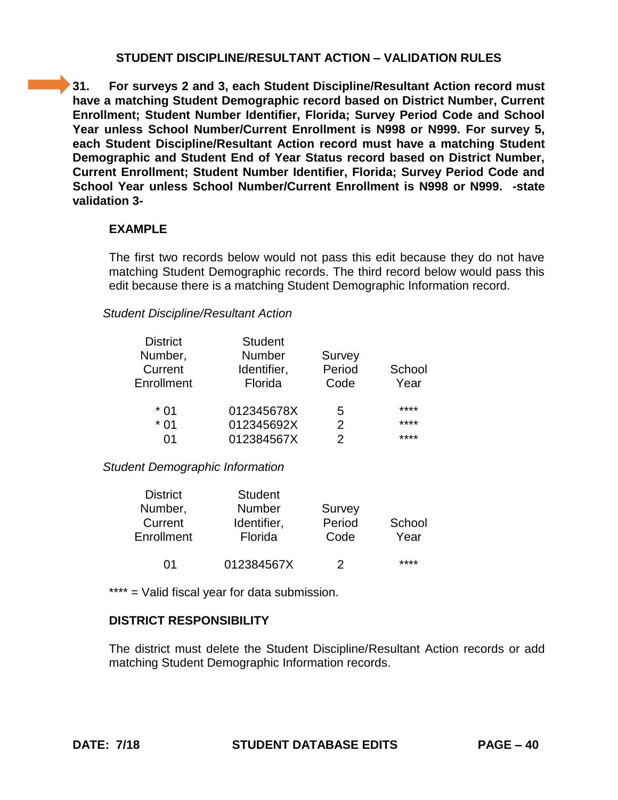**31. For surveys 2 and 3, each Student Discipline/Resultant Action record must have a matching Student Demographic record based on District Number, Current Enrollment; Student Number Identifier, Florida; Survey Period Code and School Year unless School Number/Current Enrollment is N998 or N999. For survey 5, each Student Discipline/Resultant Action record must have a matching Student Demographic and Student End of Year Status record based on District Number, Current Enrollment; Student Number Identifier, Florida; Survey Period Code and School Year unless School Number/Current Enrollment is N998 or N999. -state validation 3-**

### **EXAMPLE**

The first two records below would not pass this edit because they do not have matching Student Demographic records. The third record below would pass this edit because there is a matching Student Demographic Information record.

### *Student Discipline/Resultant Action*

| <b>District</b> | <b>Student</b> |               |        |
|-----------------|----------------|---------------|--------|
| Number,         | Number         | Survey        |        |
| Current         | Identifier,    | Period        | School |
| Enrollment      | Florida        | Code          | Year   |
| * 01            | 012345678X     | 5             | ****   |
| $*01$           | 012345692X     | $\mathcal{P}$ | ****   |
| ሰ1              | 012384567X     | 2             | ****   |

### *Student Demographic Information*

| <b>District</b> | <b>Student</b> |        |        |
|-----------------|----------------|--------|--------|
| Number,         | <b>Number</b>  | Survey |        |
| Current         | Identifier,    | Period | School |
| Enrollment      | Florida        | Code   | Year   |
|                 |                |        |        |
| በ1              | 012384567X     | 2      | ****   |
|                 |                |        |        |

\*\*\*\* = Valid fiscal year for data submission.

# **DISTRICT RESPONSIBILITY**

The district must delete the Student Discipline/Resultant Action records or add matching Student Demographic Information records.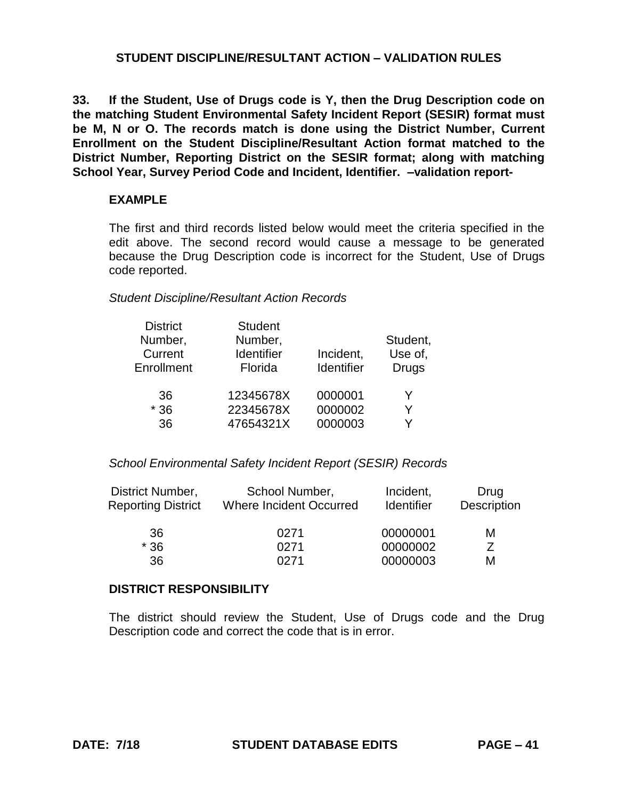**33. If the Student, Use of Drugs code is Y, then the Drug Description code on the matching Student Environmental Safety Incident Report (SESIR) format must be M, N or O. The records match is done using the District Number, Current Enrollment on the Student Discipline/Resultant Action format matched to the District Number, Reporting District on the SESIR format; along with matching School Year, Survey Period Code and Incident, Identifier. –validation report-**

### **EXAMPLE**

The first and third records listed below would meet the criteria specified in the edit above. The second record would cause a message to be generated because the Drug Description code is incorrect for the Student, Use of Drugs code reported.

#### *Student Discipline/Resultant Action Records*

| <b>District</b><br><b>Student</b><br>Number,<br>Number,<br>Current<br><b>Identifier</b><br>Enrollment<br>Florida |           | Incident,<br>Identifier | Student,<br>Use of,<br><b>Drugs</b> |
|------------------------------------------------------------------------------------------------------------------|-----------|-------------------------|-------------------------------------|
| 36                                                                                                               | 12345678X | 0000001                 | Y                                   |
| $*36$                                                                                                            | 22345678X | 0000002                 | Y                                   |
| 36                                                                                                               | 47654321X | 0000003                 |                                     |

### *School Environmental Safety Incident Report (SESIR) Records*

| District Number,          | School Number,          | Incident,         | Drug        |
|---------------------------|-------------------------|-------------------|-------------|
| <b>Reporting District</b> | Where Incident Occurred | <b>Identifier</b> | Description |
| 36                        | 0271                    | 00000001          | м           |
| $*36$                     | 0271                    | 00000002          |             |
| 36                        | በ271                    | 00000003          | М           |

#### **DISTRICT RESPONSIBILITY**

The district should review the Student, Use of Drugs code and the Drug Description code and correct the code that is in error.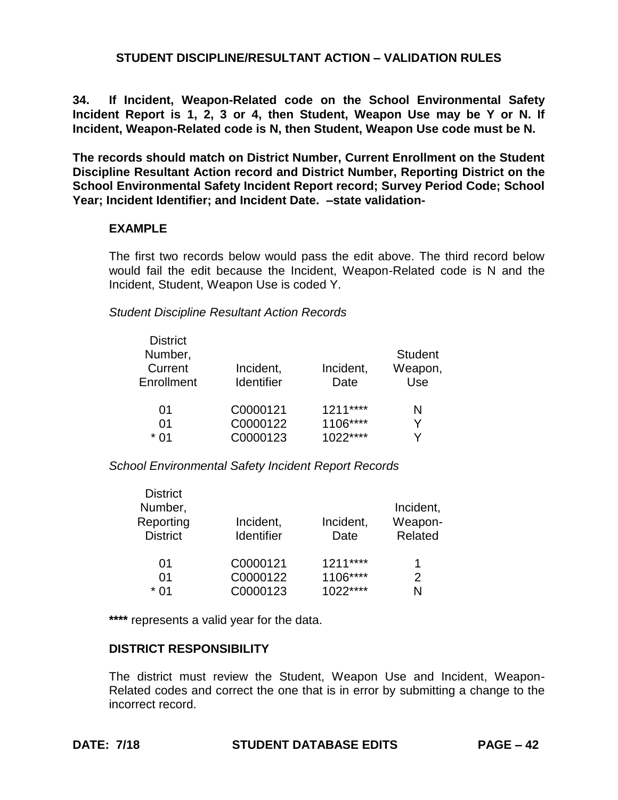**34. If Incident, Weapon-Related code on the School Environmental Safety Incident Report is 1, 2, 3 or 4, then Student, Weapon Use may be Y or N. If Incident, Weapon-Related code is N, then Student, Weapon Use code must be N.**

**The records should match on District Number, Current Enrollment on the Student Discipline Resultant Action record and District Number, Reporting District on the School Environmental Safety Incident Report record; Survey Period Code; School Year; Incident Identifier; and Incident Date. –state validation-**

#### **EXAMPLE**

The first two records below would pass the edit above. The third record below would fail the edit because the Incident, Weapon-Related code is N and the Incident, Student, Weapon Use is coded Y.

#### *Student Discipline Resultant Action Records*

| <b>District</b><br>Number,<br>Current<br>Incident,<br><b>Identifier</b><br>Enrollment |          | Incident,<br>Date | <b>Student</b><br>Weapon,<br>Use |  |
|---------------------------------------------------------------------------------------|----------|-------------------|----------------------------------|--|
| 01                                                                                    | C0000121 | $1211***$         | N                                |  |
| 01                                                                                    | C0000122 | 1106****          | v                                |  |
| * በ1                                                                                  | C0000123 | $1022***$         | v                                |  |

*School Environmental Safety Incident Report Records*

| <b>District</b> |                   |           |           |
|-----------------|-------------------|-----------|-----------|
| Number,         |                   |           | Incident, |
| Reporting       | Incident,         | Incident, | Weapon-   |
| <b>District</b> | <b>Identifier</b> | Date      | Related   |
| 01              | C0000121          | $1211***$ | 1         |
| 01              | C0000122          | 1106****  | 2         |
| * በ1            | C0000123          | $1022***$ | N         |

**\*\*\*\*** represents a valid year for the data.

### **DISTRICT RESPONSIBILITY**

The district must review the Student, Weapon Use and Incident, Weapon-Related codes and correct the one that is in error by submitting a change to the incorrect record.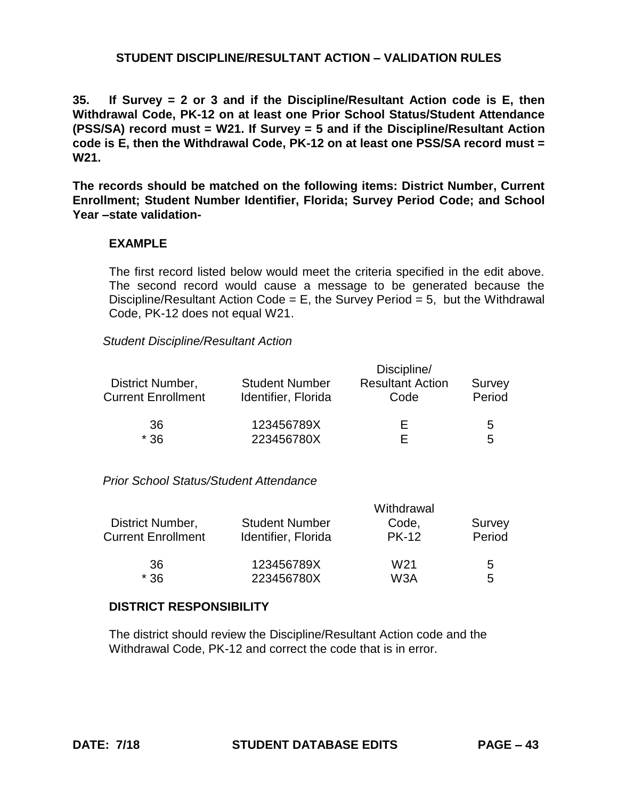**35. If Survey = 2 or 3 and if the Discipline/Resultant Action code is E, then Withdrawal Code, PK-12 on at least one Prior School Status/Student Attendance (PSS/SA) record must = W21. If Survey = 5 and if the Discipline/Resultant Action code is E, then the Withdrawal Code, PK-12 on at least one PSS/SA record must = W21.**

**The records should be matched on the following items: District Number, Current Enrollment; Student Number Identifier, Florida; Survey Period Code; and School Year –state validation-**

#### **EXAMPLE**

The first record listed below would meet the criteria specified in the edit above. The second record would cause a message to be generated because the Discipline/Resultant Action Code = E, the Survey Period = 5, but the Withdrawal Code, PK-12 does not equal W21.

#### *Student Discipline/Resultant Action*

|                           | Discipline/           |                         |        |  |
|---------------------------|-----------------------|-------------------------|--------|--|
| District Number,          | <b>Student Number</b> | <b>Resultant Action</b> | Survey |  |
| <b>Current Enrollment</b> | Identifier, Florida   | Code                    | Period |  |
| 36                        | 123456789X            | ⊢                       | 5      |  |
| $*36$                     | 223456780X            |                         | 5      |  |

*Prior School Status/Student Attendance*

|                           | Withdrawal            |                  |        |
|---------------------------|-----------------------|------------------|--------|
| District Number,          | <b>Student Number</b> | Code,            | Survey |
| <b>Current Enrollment</b> | Identifier, Florida   | <b>PK-12</b>     | Period |
| 36                        | 123456789X            | W <sub>21</sub>  | 5      |
| $*36$                     | 223456780X            | W <sub>3</sub> A | 5      |

#### **DISTRICT RESPONSIBILITY**

The district should review the Discipline/Resultant Action code and the Withdrawal Code, PK-12 and correct the code that is in error.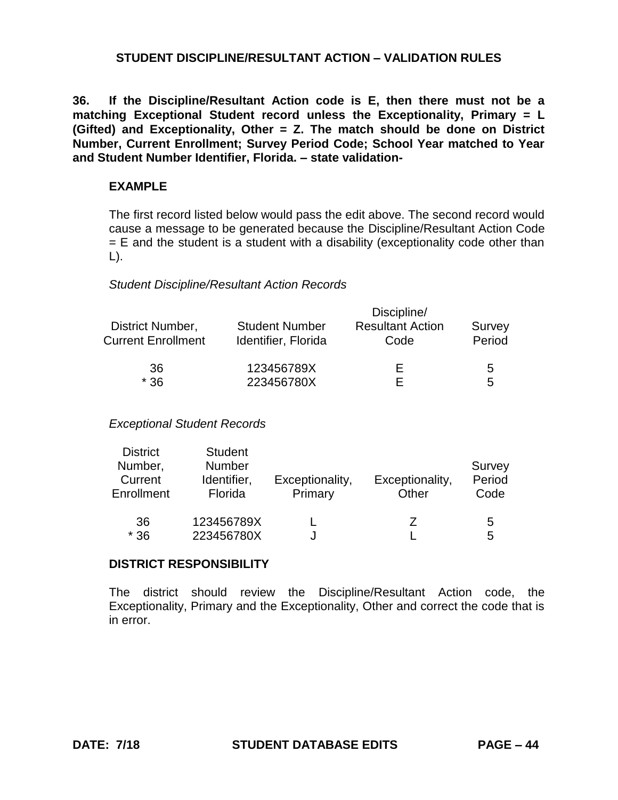**36. If the Discipline/Resultant Action code is E, then there must not be a matching Exceptional Student record unless the Exceptionality, Primary = L (Gifted) and Exceptionality, Other = Z. The match should be done on District Number, Current Enrollment; Survey Period Code; School Year matched to Year and Student Number Identifier, Florida. – state validation-**

### **EXAMPLE**

The first record listed below would pass the edit above. The second record would cause a message to be generated because the Discipline/Resultant Action Code  $=$  E and the student is a student with a disability (exceptionality code other than L).

#### *Student Discipline/Resultant Action Records*

|                           | Discipline/           |                         |        |  |
|---------------------------|-----------------------|-------------------------|--------|--|
| District Number,          | <b>Student Number</b> | <b>Resultant Action</b> | Survey |  |
| <b>Current Enrollment</b> | Identifier, Florida   | Code                    | Period |  |
| 36                        | 123456789X            | ⊢                       | 5      |  |
| $*36$                     | 223456780X            | E                       | 5      |  |

### *Exceptional Student Records*

| <b>District</b><br>Number,<br>Current<br>Enrollment | <b>Student</b><br><b>Number</b><br>Identifier,<br>Florida | Exceptionality,<br>Primary | Exceptionality,<br>Other | Survey<br>Period<br>Code |
|-----------------------------------------------------|-----------------------------------------------------------|----------------------------|--------------------------|--------------------------|
| 36<br>$*36$                                         | 123456789X<br>223456780X                                  |                            | 7                        | 5<br>5                   |

#### **DISTRICT RESPONSIBILITY**

The district should review the Discipline/Resultant Action code, the Exceptionality, Primary and the Exceptionality, Other and correct the code that is in error.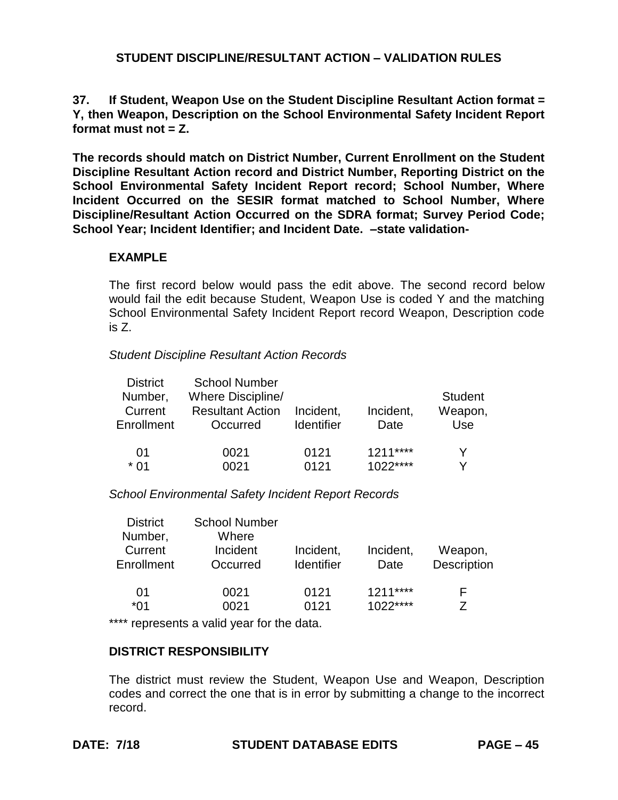**37. If Student, Weapon Use on the Student Discipline Resultant Action format = Y, then Weapon, Description on the School Environmental Safety Incident Report format must not = Z.**

**The records should match on District Number, Current Enrollment on the Student Discipline Resultant Action record and District Number, Reporting District on the School Environmental Safety Incident Report record; School Number, Where Incident Occurred on the SESIR format matched to School Number, Where Discipline/Resultant Action Occurred on the SDRA format; Survey Period Code; School Year; Incident Identifier; and Incident Date. –state validation-**

### **EXAMPLE**

The first record below would pass the edit above. The second record below would fail the edit because Student, Weapon Use is coded Y and the matching School Environmental Safety Incident Report record Weapon, Description code is Z.

#### *Student Discipline Resultant Action Records*

| <b>District</b> | <b>School Number</b>    |                   |           |                |
|-----------------|-------------------------|-------------------|-----------|----------------|
| Number,         | Where Discipline/       |                   |           | <b>Student</b> |
| Current         | <b>Resultant Action</b> | Incident.         | Incident, | Weapon,        |
| Enrollment      | Occurred                | <b>Identifier</b> | Date      | Use            |
|                 |                         |                   |           |                |
| 01              | 0021                    | 0121              | $1211***$ | V              |
| * በ1            | NN 21                   | 0121              | $1022***$ | V              |

*School Environmental Safety Incident Report Records*

| <b>District</b><br>Number,<br>Current | <b>School Number</b><br>Where<br>Incident | Incident,         | Incident,              | Weapon,     |
|---------------------------------------|-------------------------------------------|-------------------|------------------------|-------------|
| Enrollment                            | Occurred                                  | <b>Identifier</b> | Date                   | Description |
| 01<br>*01                             | 0021<br>0021                              | 0121<br>0121      | $1211***$<br>$1022***$ | ⊢           |

\*\*\*\* represents a valid year for the data.

### **DISTRICT RESPONSIBILITY**

The district must review the Student, Weapon Use and Weapon, Description codes and correct the one that is in error by submitting a change to the incorrect record.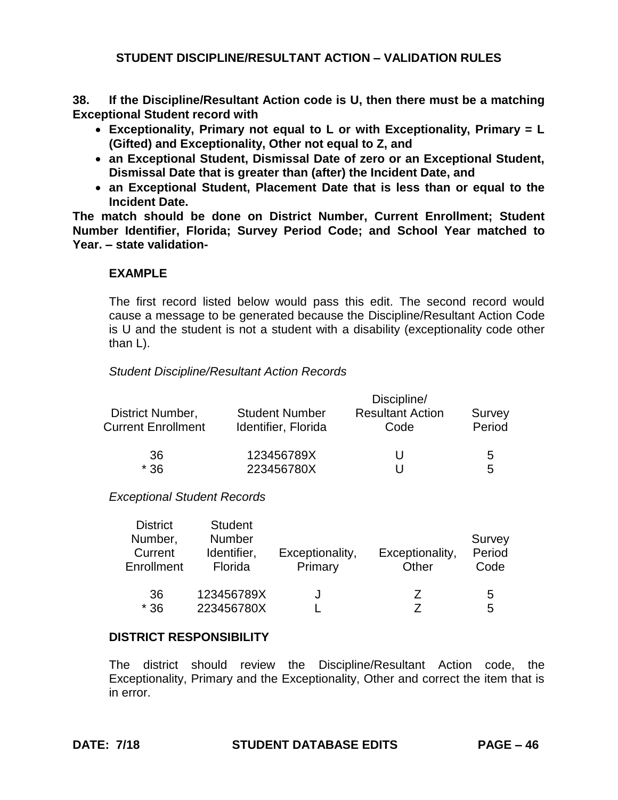**38. If the Discipline/Resultant Action code is U, then there must be a matching Exceptional Student record with** 

- **Exceptionality, Primary not equal to L or with Exceptionality, Primary = L (Gifted) and Exceptionality, Other not equal to Z, and**
- **an Exceptional Student, Dismissal Date of zero or an Exceptional Student, Dismissal Date that is greater than (after) the Incident Date, and**
- **an Exceptional Student, Placement Date that is less than or equal to the Incident Date.**

**The match should be done on District Number, Current Enrollment; Student Number Identifier, Florida; Survey Period Code; and School Year matched to Year. – state validation-**

### **EXAMPLE**

The first record listed below would pass this edit. The second record would cause a message to be generated because the Discipline/Resultant Action Code is U and the student is not a student with a disability (exceptionality code other than L).

#### *Student Discipline/Resultant Action Records*

|                           | Discipline/           |                         |        |  |  |
|---------------------------|-----------------------|-------------------------|--------|--|--|
| District Number,          | <b>Student Number</b> | <b>Resultant Action</b> | Survey |  |  |
| <b>Current Enrollment</b> | Identifier, Florida   | Code                    | Period |  |  |
| 36                        | 123456789X            | U                       | 5      |  |  |
| $*36$                     | 223456780X            |                         | 5      |  |  |

#### *Exceptional Student Records*

| <b>District</b><br>Number,<br>Current<br>Enrollment | <b>Student</b><br><b>Number</b><br>Identifier,<br>Florida | Exceptionality,<br>Primary | Exceptionality,<br>Other | Survey<br>Period<br>Code |
|-----------------------------------------------------|-----------------------------------------------------------|----------------------------|--------------------------|--------------------------|
| 36<br>$*36$                                         | 123456789X<br>223456780X                                  |                            |                          | 5<br>5                   |

#### **DISTRICT RESPONSIBILITY**

The district should review the Discipline/Resultant Action code, the Exceptionality, Primary and the Exceptionality, Other and correct the item that is in error.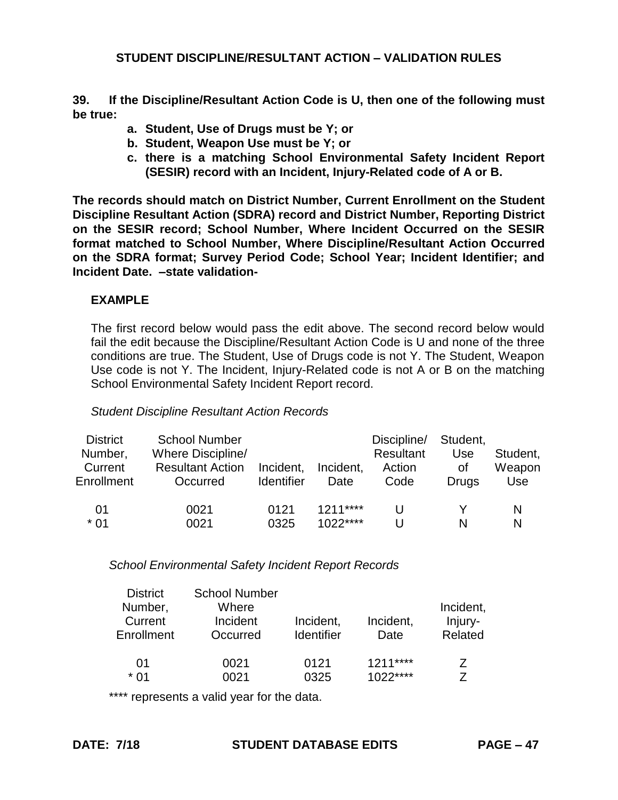**39. If the Discipline/Resultant Action Code is U, then one of the following must be true:**

- **a. Student, Use of Drugs must be Y; or**
- **b. Student, Weapon Use must be Y; or**
- **c. there is a matching School Environmental Safety Incident Report (SESIR) record with an Incident, Injury-Related code of A or B.**

**The records should match on District Number, Current Enrollment on the Student Discipline Resultant Action (SDRA) record and District Number, Reporting District on the SESIR record; School Number, Where Incident Occurred on the SESIR format matched to School Number, Where Discipline/Resultant Action Occurred on the SDRA format; Survey Period Code; School Year; Incident Identifier; and Incident Date. –state validation-**

## **EXAMPLE**

The first record below would pass the edit above. The second record below would fail the edit because the Discipline/Resultant Action Code is U and none of the three conditions are true. The Student, Use of Drugs code is not Y. The Student, Weapon Use code is not Y. The Incident, Injury-Related code is not A or B on the matching School Environmental Safety Incident Report record.

### *Student Discipline Resultant Action Records*

| <b>District</b><br>Number,<br>Current<br>Enrollment | <b>School Number</b><br>Where Discipline/<br><b>Resultant Action</b><br>Occurred | Incident.<br><b>Identifier</b> | Incident,<br>Date      | Discipline/<br>Resultant<br>Action<br>Code | Student,<br>Use<br>Οt<br><b>Drugs</b> | Student,<br>Weapon<br>Use |
|-----------------------------------------------------|----------------------------------------------------------------------------------|--------------------------------|------------------------|--------------------------------------------|---------------------------------------|---------------------------|
| 01<br>$*01$                                         | 0021<br>0021                                                                     | 0121<br>0325                   | $1211***$<br>$1022***$ | U                                          | N                                     | N<br>N                    |

*School Environmental Safety Incident Report Records*

| <b>District</b><br>Number,<br>Current<br>Enrollment | <b>School Number</b><br>Where<br>Incident<br>Occurred | Incident,<br><b>Identifier</b> | Incident,<br>Date | Incident,<br>Injury-<br>Related |
|-----------------------------------------------------|-------------------------------------------------------|--------------------------------|-------------------|---------------------------------|
| 01                                                  | 0021                                                  | 0121                           | $1211***$         | Z                               |
| * 01                                                | 0021                                                  | 0325                           | $1022***$         | 7                               |

\*\*\*\* represents a valid year for the data.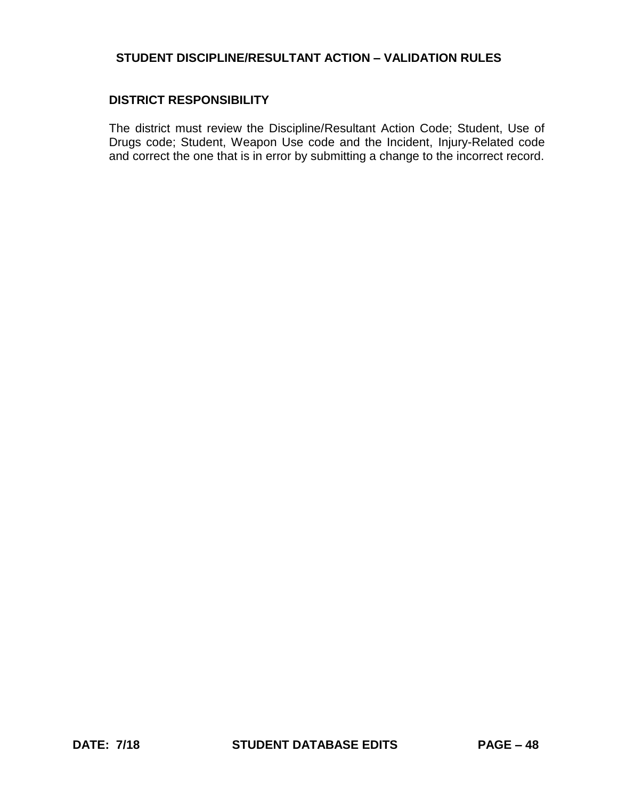### **DISTRICT RESPONSIBILITY**

The district must review the Discipline/Resultant Action Code; Student, Use of Drugs code; Student, Weapon Use code and the Incident, Injury-Related code and correct the one that is in error by submitting a change to the incorrect record.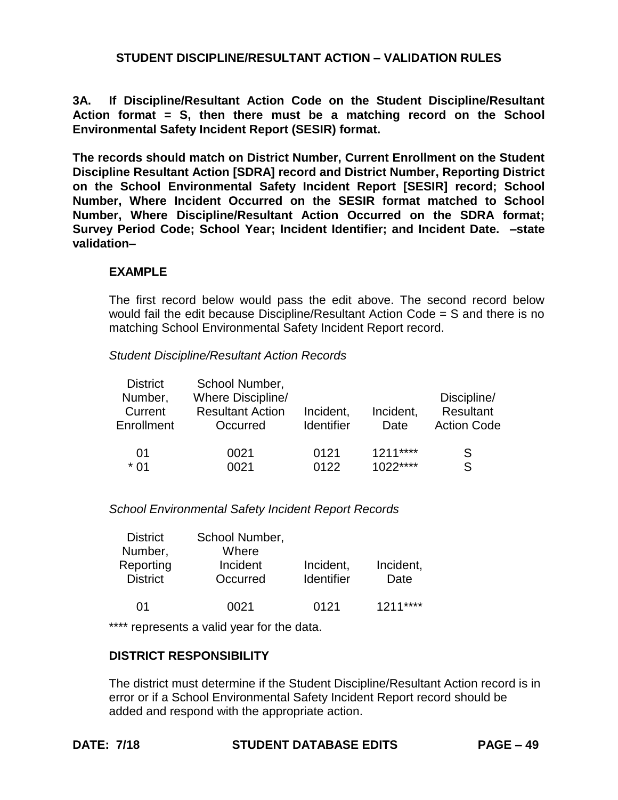**3A. If Discipline/Resultant Action Code on the Student Discipline/Resultant Action format = S, then there must be a matching record on the School Environmental Safety Incident Report (SESIR) format.**

**The records should match on District Number, Current Enrollment on the Student Discipline Resultant Action [SDRA] record and District Number, Reporting District on the School Environmental Safety Incident Report [SESIR] record; School Number, Where Incident Occurred on the SESIR format matched to School Number, Where Discipline/Resultant Action Occurred on the SDRA format; Survey Period Code; School Year; Incident Identifier; and Incident Date. –state validation–**

### **EXAMPLE**

The first record below would pass the edit above. The second record below would fail the edit because Discipline/Resultant Action Code = S and there is no matching School Environmental Safety Incident Report record.

*Student Discipline/Resultant Action Records*

| <b>District</b> | School Number,          |                   |           |                    |
|-----------------|-------------------------|-------------------|-----------|--------------------|
| Number,         | Where Discipline/       |                   |           | Discipline/        |
| Current         | <b>Resultant Action</b> | Incident,         | Incident, | Resultant          |
| Enrollment      | Occurred                | <b>Identifier</b> | Date      | <b>Action Code</b> |
|                 |                         |                   |           |                    |
| 01              | 0021                    | 0121              | $1211***$ | S                  |
| * በ1            | በበ21                    | 0122              | $1022***$ | S                  |

*School Environmental Safety Incident Report Records*

| School Number, |                   |           |
|----------------|-------------------|-----------|
| Where          |                   |           |
| Incident       | Incident,         | Incident, |
| Occurred       | <b>Identifier</b> | Date      |
|                |                   |           |
| 0021           | 0121              | $1211***$ |
|                |                   |           |

\*\*\*\* represents a valid year for the data.

### **DISTRICT RESPONSIBILITY**

The district must determine if the Student Discipline/Resultant Action record is in error or if a School Environmental Safety Incident Report record should be added and respond with the appropriate action.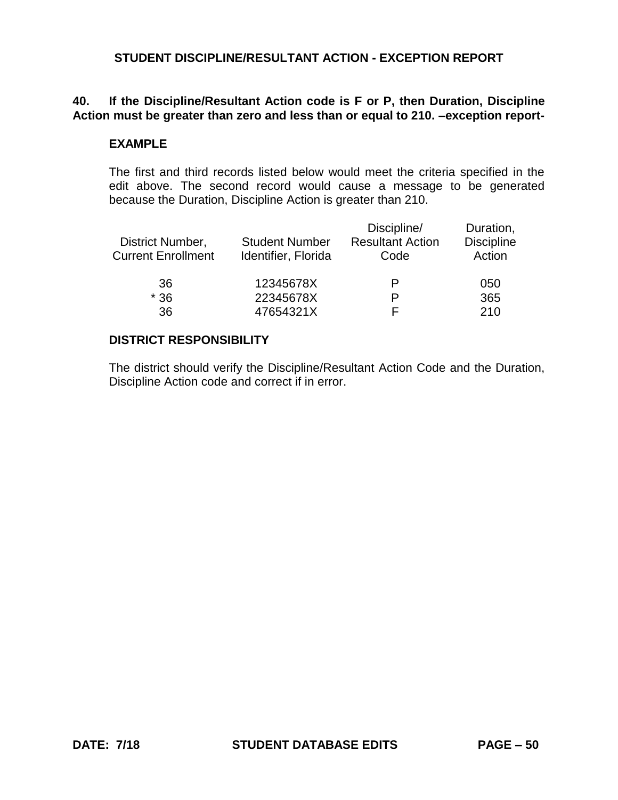## **40. If the Discipline/Resultant Action code is F or P, then Duration, Discipline Action must be greater than zero and less than or equal to 210. –exception report-**

#### **EXAMPLE**

The first and third records listed below would meet the criteria specified in the edit above. The second record would cause a message to be generated because the Duration, Discipline Action is greater than 210.

| District Number,<br><b>Current Enrollment</b> | <b>Student Number</b><br>Identifier, Florida | Discipline/<br><b>Resultant Action</b><br>Code | Duration,<br><b>Discipline</b><br>Action |
|-----------------------------------------------|----------------------------------------------|------------------------------------------------|------------------------------------------|
| 36                                            | 12345678X                                    | P                                              | 050                                      |
| $*36$                                         | 22345678X                                    | Р                                              | 365                                      |
| 36                                            | 47654321X                                    | ⊢                                              | 210                                      |

#### **DISTRICT RESPONSIBILITY**

The district should verify the Discipline/Resultant Action Code and the Duration, Discipline Action code and correct if in error.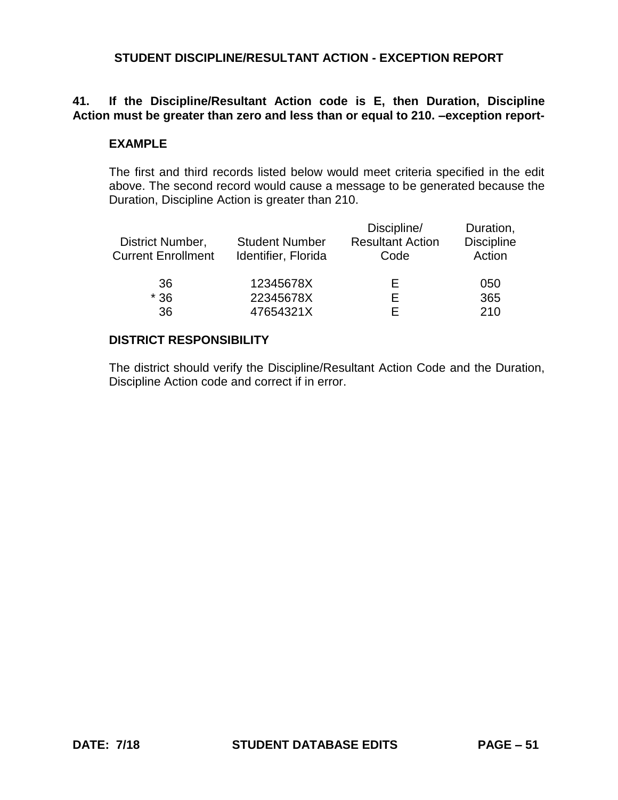# **41. If the Discipline/Resultant Action code is E, then Duration, Discipline Action must be greater than zero and less than or equal to 210. –exception report-**

### **EXAMPLE**

The first and third records listed below would meet criteria specified in the edit above. The second record would cause a message to be generated because the Duration, Discipline Action is greater than 210.

| District Number,<br><b>Current Enrollment</b> | <b>Student Number</b><br>Identifier, Florida | Discipline/<br><b>Resultant Action</b><br>Code | Duration,<br><b>Discipline</b><br>Action |
|-----------------------------------------------|----------------------------------------------|------------------------------------------------|------------------------------------------|
| 36                                            | 12345678X                                    | Е                                              | 050                                      |
| $*36$                                         | 22345678X                                    | F                                              | 365                                      |
| 36                                            | 47654321X                                    | F                                              | 210                                      |

#### **DISTRICT RESPONSIBILITY**

The district should verify the Discipline/Resultant Action Code and the Duration, Discipline Action code and correct if in error.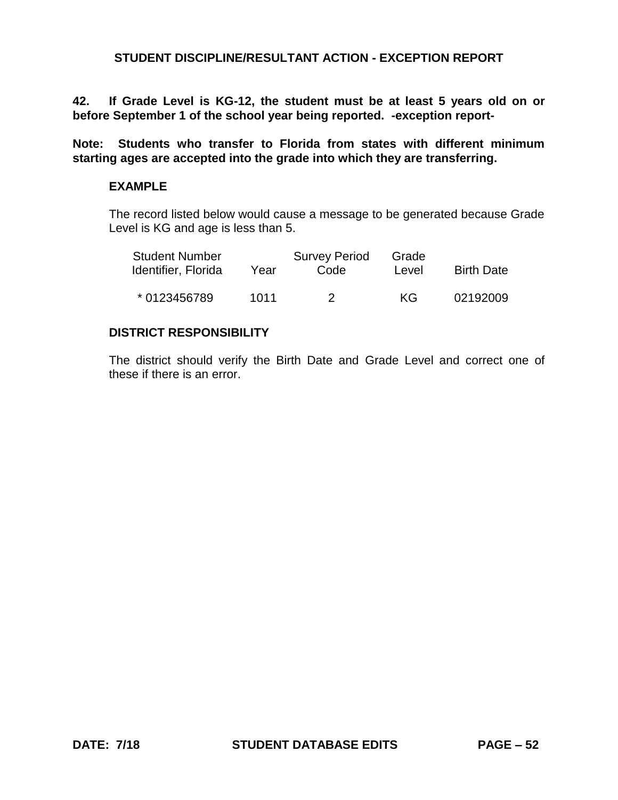**42. If Grade Level is KG-12, the student must be at least 5 years old on or before September 1 of the school year being reported. -exception report-**

**Note: Students who transfer to Florida from states with different minimum starting ages are accepted into the grade into which they are transferring.**

#### **EXAMPLE**

The record listed below would cause a message to be generated because Grade Level is KG and age is less than 5.

| <b>Student Number</b><br>Identifier, Florida | Year | <b>Survey Period</b><br>Code | Grade<br>Level | <b>Birth Date</b> |
|----------------------------------------------|------|------------------------------|----------------|-------------------|
| * 0123456789                                 | 1011 | 2                            | KG             | 02192009          |

#### **DISTRICT RESPONSIBILITY**

The district should verify the Birth Date and Grade Level and correct one of these if there is an error.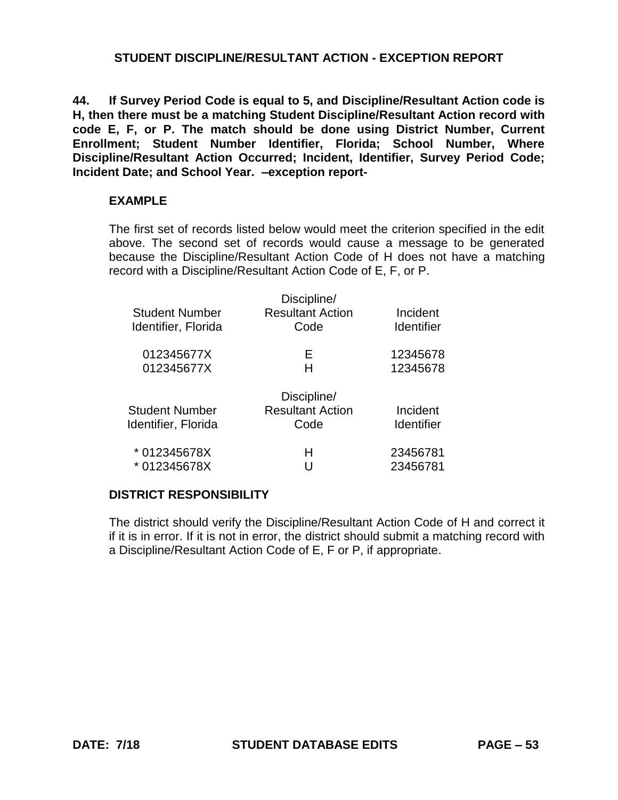**44. If Survey Period Code is equal to 5, and Discipline/Resultant Action code is H, then there must be a matching Student Discipline/Resultant Action record with code E, F, or P. The match should be done using District Number, Current Enrollment; Student Number Identifier, Florida; School Number, Where Discipline/Resultant Action Occurred; Incident, Identifier, Survey Period Code; Incident Date; and School Year. –exception report-**

#### **EXAMPLE**

The first set of records listed below would meet the criterion specified in the edit above. The second set of records would cause a message to be generated because the Discipline/Resultant Action Code of H does not have a matching record with a Discipline/Resultant Action Code of E, F, or P.

| Student Number<br>Identifier, Florida        | Discipline/<br><b>Resultant Action</b><br>Code | Incident<br><b>Identifier</b> |
|----------------------------------------------|------------------------------------------------|-------------------------------|
| 012345677X<br>012345677X                     | F<br>н                                         | 12345678<br>12345678          |
| <b>Student Number</b><br>Identifier, Florida | Discipline/<br><b>Resultant Action</b><br>Code | Incident<br><b>Identifier</b> |
| * 012345678X<br>* 012345678X                 | н                                              | 23456781<br>23456781          |

#### **DISTRICT RESPONSIBILITY**

The district should verify the Discipline/Resultant Action Code of H and correct it if it is in error. If it is not in error, the district should submit a matching record with a Discipline/Resultant Action Code of E, F or P, if appropriate.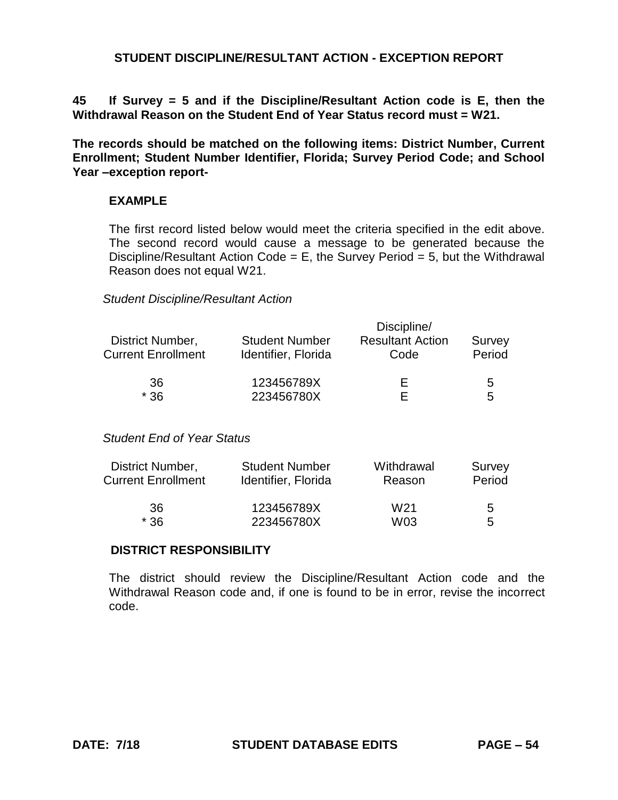**45 If Survey = 5 and if the Discipline/Resultant Action code is E, then the Withdrawal Reason on the Student End of Year Status record must = W21.** 

**The records should be matched on the following items: District Number, Current Enrollment; Student Number Identifier, Florida; Survey Period Code; and School Year –exception report-**

### **EXAMPLE**

The first record listed below would meet the criteria specified in the edit above. The second record would cause a message to be generated because the Discipline/Resultant Action Code =  $E$ , the Survey Period = 5, but the Withdrawal Reason does not equal W21.

#### *Student Discipline/Resultant Action*

| District Number,          | Discipline/           |                         |        |  |
|---------------------------|-----------------------|-------------------------|--------|--|
|                           | <b>Student Number</b> | <b>Resultant Action</b> | Survey |  |
| <b>Current Enrollment</b> | Identifier, Florida   | Code                    | Period |  |
| 36                        | 123456789X            | ⊢                       | 5      |  |
| $*36$                     | 223456780X            |                         | 5      |  |

#### *Student End of Year Status*

| District Number,<br><b>Current Enrollment</b><br>36<br>$*36$ | <b>Student Number</b><br>Identifier, Florida | Withdrawal<br>Reason   | Survey<br>Period |
|--------------------------------------------------------------|----------------------------------------------|------------------------|------------------|
|                                                              | 123456789X<br>223456780X                     | W <sub>21</sub><br>W03 | 5<br>5           |

### **DISTRICT RESPONSIBILITY**

The district should review the Discipline/Resultant Action code and the Withdrawal Reason code and, if one is found to be in error, revise the incorrect code.